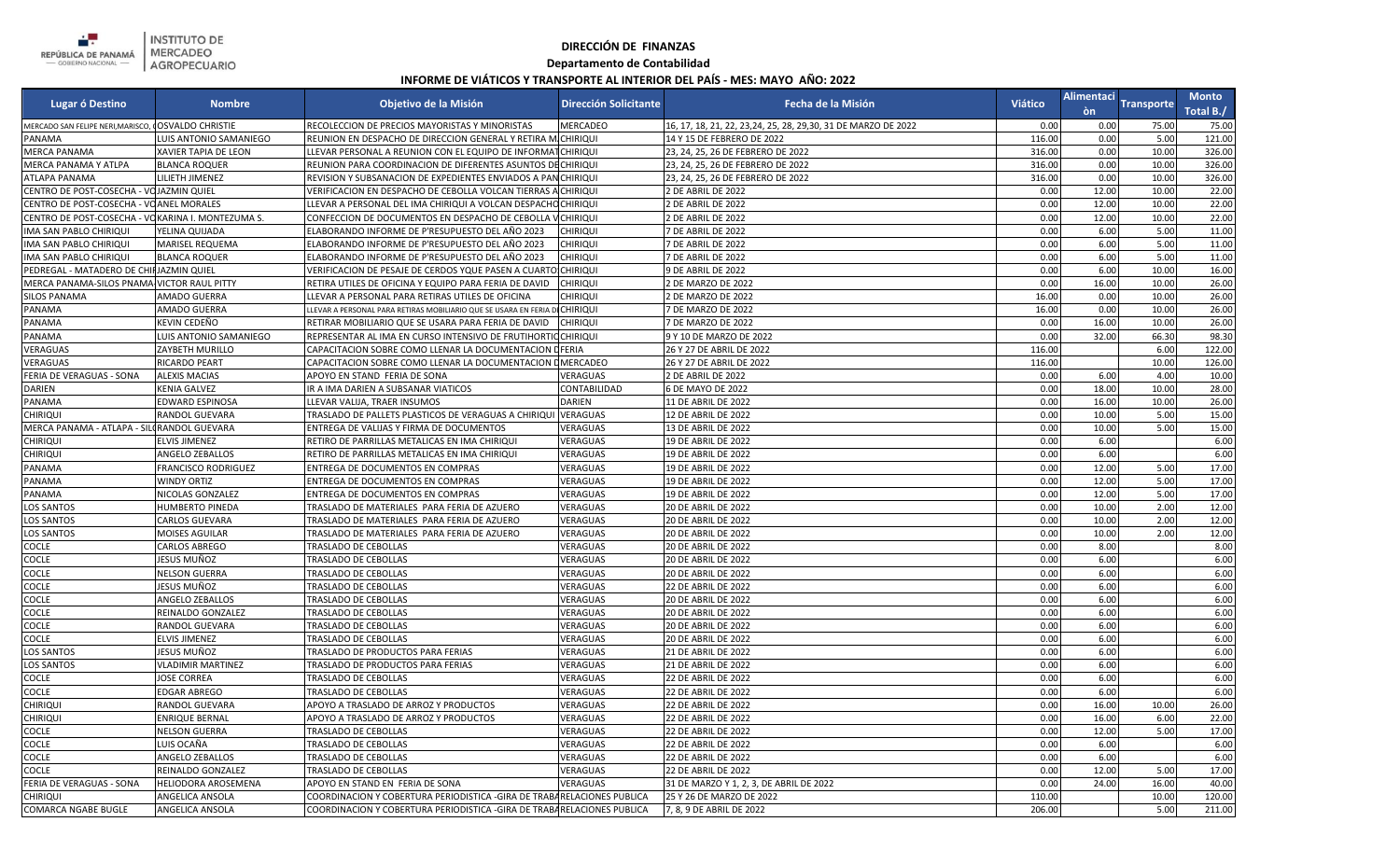

INSTITUTO DE<br>MERCADEO<br>AGROPECUARIO

## **DIRECCIÓN DE FINANZAS**

## **Departamento de Contabilidad**

## **INFORME DE VIÁTICOS Y TRANSPORTE AL INTERIOR DEL PAÍS - MES: MAYO AÑO: 2022**

| Lugar ó Destino                                      | <b>Nombre</b>            | Objetivo de la Misión                                                       | <b>Dirección Solicitante</b> | Fecha de la Misión                                              | <b>Viático</b> |       | Alimentaci Transporte | <b>Monto</b><br>Total B./ |
|------------------------------------------------------|--------------------------|-----------------------------------------------------------------------------|------------------------------|-----------------------------------------------------------------|----------------|-------|-----------------------|---------------------------|
| MERCADO SAN FELIPE NERI, MARISCO, I OSVALDO CHRISTIE |                          | RECOLECCION DE PRECIOS MAYORISTAS Y MINORISTAS                              | MERCADEO                     | 16, 17, 18, 21, 22, 23, 24, 25, 28, 29, 30, 31 DE MARZO DE 2022 | 0.00           | 0.00  | 75.00                 | 75.00                     |
| PANAMA                                               | LUIS ANTONIO SAMANIEGO   | REUNION EN DESPACHO DE DIRECCION GENERAL Y RETIRA MICHIRIQUI                |                              | 14 Y 15 DE FEBRERO DE 2022                                      | 116.00         | 0.00  | 5.00                  | 121.00                    |
| <b>MERCA PANAMA</b>                                  | KAVIER TAPIA DE LEON     | LLEVAR PERSONAL A REUNION CON EL EQUIPO DE INFORMATCHIRIQUI                 |                              | 23, 24, 25, 26 DE FEBRERO DE 2022                               | 316.00         | 0.00  | 10.00                 | 326.00                    |
| MERCA PANAMA Y ATLPA                                 | <b>BLANCA ROQUER</b>     | REUNION PARA COORDINACION DE DIFERENTES ASUNTOS DECHIRIQUI                  |                              | 23, 24, 25, 26 DE FEBRERO DE 2022                               | 316.00         | 0.00  | 10.00                 | 326.00                    |
| <b>ATLAPA PANAMA</b>                                 | <b>LILIETH JIMENEZ</b>   | REVISION Y SUBSANACION DE EXPEDIENTES ENVIADOS A PANCHIRIQUI                |                              | 23, 24, 25, 26 DE FEBRERO DE 2022                               | 316.00         | 0.00  | 10.00                 | 326.00                    |
| CENTRO DE POST-COSECHA - VOJAZMIN QUIEL              |                          | VERIFICACION EN DESPACHO DE CEBOLLA VOLCAN TIERRAS A CHIRIQUI               |                              | 2 DE ABRIL DE 2022                                              | 0.00           | 12.00 | 10.00                 | 22.00                     |
| CENTRO DE POST-COSECHA - VOANEL MORALES              |                          | LLEVAR A PERSONAL DEL IMA CHIRIQUI A VOLCAN DESPACHO CHIRIQUI               |                              | 2 DE ABRIL DE 2022                                              | 0.00           | 12.00 | 10.00                 | 22.00                     |
| CENTRO DE POST-COSECHA - VOKARINA I. MONTEZUMA S.    |                          | CONFECCION DE DOCUMENTOS EN DESPACHO DE CEBOLLA                             | <b>VCHIRIQUI</b>             | 2 DE ABRIL DE 2022                                              | 0.00           | 12.00 | 10.00                 | 22.00                     |
| IMA SAN PABLO CHIRIQUI                               | YELINA QUIJADA           | ELABORANDO INFORME DE P'RESUPUESTO DEL AÑO 2023                             | <b>CHIRIQUI</b>              | 7 DE ABRIL DE 2022                                              | 0.00           | 6.00  | 5.00                  | 11.00                     |
| IMA SAN PABLO CHIRIQUI                               | MARISEL REQUEMA          | ELABORANDO INFORME DE P'RESUPUESTO DEL AÑO 2023                             | <b>CHIRIQUI</b>              | 7 DE ABRIL DE 2022                                              | 0.00           | 6.00  | 5.00                  | 11.00                     |
| IMA SAN PABLO CHIRIQUI                               | <b>BLANCA ROQUER</b>     | ELABORANDO INFORME DE P'RESUPUESTO DEL AÑO 2023                             | <b>CHIRIQUI</b>              | 7 DE ABRIL DE 2022                                              | 0.00           | 6.00  | 5.00                  | 11.00                     |
| PEDREGAL - MATADERO DE CHIFJAZMIN QUIEL              |                          | VERIFICACION DE PESAJE DE CERDOS YQUE PASEN A CUARTO CHIRIQUI               |                              | <b>J DE ABRIL DE 2022</b>                                       | 0.00           | 6.00  | 10.00                 | 16.00                     |
| MERCA PANAMA-SILOS PNAMA VICTOR RAUL PITTY           |                          | RETIRA UTILES DE OFICINA Y EQUIPO PARA FERIA DE DAVID                       | <b>CHIRIQUI</b>              | 2 DE MARZO DE 2022                                              | 0.00           | 16.00 | 10.00                 | 26.00                     |
| <b>SILOS PANAMA</b>                                  | AMADO GUERRA             | LLEVAR A PERSONAL PARA RETIRAS UTILES DE OFICINA                            | <b>CHIRIQUI</b>              | 2 DE MARZO DE 2022                                              | 16.00          | 0.00  | 10.00                 | 26.00                     |
| PANAMA                                               | AMADO GUERRA             | LLEVAR A PERSONAL PARA RETIRAS MOBILIARIO QUE SE USARA EN FERIA DI CHIRIQUI |                              | 7 DE MARZO DE 2022                                              | 16.00          | 0.00  | 10.00                 | 26.00                     |
| PANAMA                                               | KEVIN CEDEÑO             | RETIRAR MOBILIARIO QUE SE USARA PARA FERIA DE DAVID                         | <b>CHIRIQUI</b>              | 7 DE MARZO DE 2022                                              | 0.00           | 16.00 | 10.00                 | 26.00                     |
| PANAMA                                               | LUIS ANTONIO SAMANIEGO   | REPRESENTAR AL IMA EN CURSO INTENSIVO DE FRUTIHORTIO CHIRIQUI               |                              | 9 Y 10 DE MARZO DE 2022                                         | 0.00           | 32.00 | 66.30                 | 98.30                     |
| VERAGUAS                                             | ZAYBETH MURILLO          | CAPACITACION SOBRE COMO LLENAR LA DOCUMENTACION                             | <b>DFERIA</b>                | 26 Y 27 DE ABRIL DE 2022                                        | 116.00         |       | 6.00                  | 122.00                    |
| VERAGUAS                                             | RICARDO PEART            | CAPACITACION SOBRE COMO LLENAR LA DOCUMENTACION                             | <b>DMERCADEO</b>             | 26 Y 27 DE ABRIL DE 2022                                        | 116.00         |       | 10.00                 | 126.00                    |
| FERIA DE VERAGUAS - SONA                             | <b>ALEXIS MACIAS</b>     | APOYO EN STAND FERIA DE SONA                                                | VERAGUAS                     | 2 DE ABRIL DE 2022                                              | 0.00           | 6.00  | 4.00                  | 10.00                     |
| <b>DARIEN</b>                                        | KENIA GALVEZ             | IR A IMA DARIEN A SUBSANAR VIATICOS                                         | CONTABILIDAD                 | 6 DE MAYO DE 2022                                               | 0.00           | 18.00 | 10.00                 | 28.00                     |
| PANAMA                                               | EDWARD ESPINOSA          | LLEVAR VALIJA, TRAER INSUMOS                                                | DARIEN                       | 11 DE ABRIL DE 2022                                             | 0.00           | 16.00 | 10.00                 | 26.00                     |
| <b>CHIRIQUI</b>                                      | RANDOL GUEVARA           | TRASLADO DE PALLETS PLASTICOS DE VERAGUAS A CHIRIQUI VERAGUAS               |                              | 12 DE ABRIL DE 2022                                             | 0.00           | 10.00 | 5.00                  | 15.00                     |
| MERCA PANAMA - ATLAPA - SILORANDOL GUEVARA           |                          | ENTREGA DE VALIJAS Y FIRMA DE DOCUMENTOS                                    | VERAGUAS                     | 13 DE ABRIL DE 2022                                             | 0.00           | 10.00 | 5.00                  | 15.00                     |
| <b>CHIRIQUI</b>                                      | <b>ELVIS JIMENEZ</b>     | RETIRO DE PARRILLAS METALICAS EN IMA CHIRIQUI                               | VERAGUAS                     | 19 DE ABRIL DE 2022                                             | 0.00           | 6.00  |                       | 6.00                      |
| <b>CHIRIQUI</b>                                      | ANGELO ZEBALLOS          | RETIRO DE PARRILLAS METALICAS EN IMA CHIRIQUI                               | VERAGUAS                     | 19 DE ABRIL DE 2022                                             | 0.00           | 6.00  |                       | 6.00                      |
| <b>PANAMA</b>                                        | FRANCISCO RODRIGUEZ      | ENTREGA DE DOCUMENTOS EN COMPRAS                                            | VERAGUAS                     | 19 DE ABRIL DE 2022                                             | 0.00           | 12.00 | 5.00                  | 17.00                     |
| PANAMA                                               | <b>WINDY ORTIZ</b>       | ENTREGA DE DOCUMENTOS EN COMPRAS                                            | VERAGUAS                     | 19 DE ABRIL DE 2022                                             | 0.00           | 12.00 | 5.00                  | 17.00                     |
| PANAMA                                               | NICOLAS GONZALEZ         | ENTREGA DE DOCUMENTOS EN COMPRAS                                            | VERAGUAS                     | 19 DE ABRIL DE 2022                                             | 0.00           | 12.00 | 5.00                  | 17.00                     |
| <b>LOS SANTOS</b>                                    | <b>IUMBERTO PINEDA</b>   | TRASLADO DE MATERIALES PARA FERIA DE AZUERO                                 | VERAGUAS                     | 20 DE ABRIL DE 2022                                             | 0.00           | 10.00 | 2.00                  | 12.00                     |
| <b>LOS SANTOS</b>                                    | CARLOS GUEVARA           | TRASLADO DE MATERIALES PARA FERIA DE AZUERO                                 | VERAGUAS                     | 20 DE ABRIL DE 2022                                             | 0.00           | 10.00 | 2.00                  | 12.00                     |
| <b>LOS SANTOS</b>                                    | MOISES AGUILAR           | TRASLADO DE MATERIALES PARA FERIA DE AZUERO                                 | VERAGUAS                     | 20 DE ABRIL DE 2022                                             | 0.00           | 10.00 | 2.00                  | 12.00                     |
| <b>COCLE</b>                                         | CARLOS ABREGO            | TRASLADO DE CEBOLLAS                                                        | VERAGUAS                     | 20 DE ABRIL DE 2022                                             | 0.00           | 8.00  |                       | 8.00                      |
| <b>COCLE</b>                                         | JESUS MUÑOZ              | <b>TRASLADO DE CEBOLLAS</b>                                                 | VERAGUAS                     | 20 DE ABRIL DE 2022                                             | 0.00           | 6.00  |                       | 6.00                      |
| <b>COCLE</b>                                         | <b>NELSON GUERRA</b>     | TRASLADO DE CEBOLLAS                                                        | VERAGUAS                     | 20 DE ABRIL DE 2022                                             | 0.00           | 6.00  |                       | 6.00                      |
| <b>COCLE</b>                                         | IESUS MUÑOZ              | TRASLADO DE CEBOLLAS                                                        | VERAGUAS                     | 22 DE ABRIL DE 2022                                             | 0.00           | 6.00  |                       | 6.00                      |
| <b>COCLE</b>                                         | ANGELO ZEBALLOS          | TRASLADO DE CEBOLLAS                                                        | VERAGUAS                     | 20 DE ABRIL DE 2022                                             | 0.00           | 6.00  |                       | 6.00                      |
| <b>COCLE</b>                                         | REINALDO GONZALEZ        | TRASLADO DE CEBOLLAS                                                        | VERAGUAS                     | 20 DE ABRIL DE 2022                                             | 0.00           | 6.00  |                       | 6.00                      |
| <b>COCLE</b>                                         | RANDOL GUEVARA           | <b>TRASLADO DE CEBOLLAS</b>                                                 | VERAGUAS                     | 20 DE ABRIL DE 2022                                             | 0.00           | 6.00  |                       | 6.00                      |
| <b>COCLE</b>                                         | ELVIS JIMENEZ            | TRASLADO DE CEBOLLAS                                                        | VERAGUAS                     | 20 DE ABRIL DE 2022                                             | 0.00           | 6.00  |                       | 6.00                      |
| <b>LOS SANTOS</b>                                    | IESUS MUÑOZ              | TRASLADO DE PRODUCTOS PARA FERIAS                                           | VERAGUAS                     | 21 DE ABRIL DE 2022                                             | 0.00           | 6.00  |                       | 6.00                      |
| <b>LOS SANTOS</b>                                    | <b>VLADIMIR MARTINEZ</b> | TRASLADO DE PRODUCTOS PARA FERIAS                                           | VERAGUAS                     | 21 DE ABRIL DE 2022                                             | 0.00           | 6.00  |                       | 6.00                      |
| <b>COCLE</b>                                         | <b>JOSE CORREA</b>       | TRASLADO DE CEBOLLAS                                                        | VERAGUAS                     | 22 DE ABRIL DE 2022                                             | 0.00           | 6.00  |                       | 6.00                      |
| <b>COCLE</b>                                         | EDGAR ABREGO             | <b>TRASLADO DE CEBOLLAS</b>                                                 | VERAGUAS                     | 22 DE ABRIL DE 2022                                             | 0.00           | 6.00  |                       | 6.00                      |
| <b>CHIRIQUI</b>                                      | RANDOL GUEVARA           | APOYO A TRASLADO DE ARROZ Y PRODUCTOS                                       | VERAGUAS                     | 22 DE ABRIL DE 2022                                             | 0.00           | 16.00 | 10.00                 | 26.00                     |
| <b>CHIRIQUI</b>                                      | ENRIQUE BERNAL           | APOYO A TRASLADO DE ARROZ Y PRODUCTOS                                       | VERAGUAS                     | 22 DE ABRIL DE 2022                                             | 0.00           | 16.00 | 6.00                  | 22.00                     |
| <b>COCLE</b>                                         | NELSON GUERRA            | TRASLADO DE CEBOLLAS                                                        | VERAGUAS                     | 22 DE ABRIL DE 2022                                             | 0.00           | 12.00 | 5.00                  | 17.00                     |
| <b>COCLE</b>                                         | LUIS OCAÑA               | TRASLADO DE CEBOLLAS                                                        | VERAGUAS                     | 22 DE ABRIL DE 2022                                             | 0.00           | 6.00  |                       | 6.00                      |
| <b>COCLE</b>                                         | ANGELO ZEBALLOS          | TRASLADO DE CEBOLLAS                                                        | VERAGUAS                     | 22 DE ABRIL DE 2022                                             | 0.00           | 6.00  |                       | 6.00                      |
| <b>COCLE</b>                                         | REINALDO GONZALEZ        | TRASLADO DE CEBOLLAS                                                        | VERAGUAS                     | 22 DE ABRIL DE 2022                                             | 0.00           | 12.00 | 5.00                  | 17.00                     |
| FERIA DE VERAGUAS - SONA                             | HELIODORA AROSEMENA      | APOYO EN STAND EN FERIA DE SONA                                             | VERAGUAS                     | 31 DE MARZO Y 1, 2, 3, DE ABRIL DE 2022                         | 0.00           | 24.00 | 16.00                 | 40.00                     |
| <b>CHIRIQUI</b>                                      | ANGELICA ANSOLA          | COORDINACION Y COBERTURA PERIODISTICA - GIRA DE TRABARELACIONES PUBLICA     |                              | 25 Y 26 DE MARZO DE 2022                                        | 110.00         |       | 10.00                 | 120.00                    |
| COMARCA NGABE BUGLE                                  | ANGELICA ANSOLA          | COORDINACION Y COBERTURA PERIODISTICA - GIRA DE TRABARELACIONES PUBLICA     |                              | 7, 8, 9 DE ABRIL DE 2022                                        | 206.00         |       | 5.00                  | 211.00                    |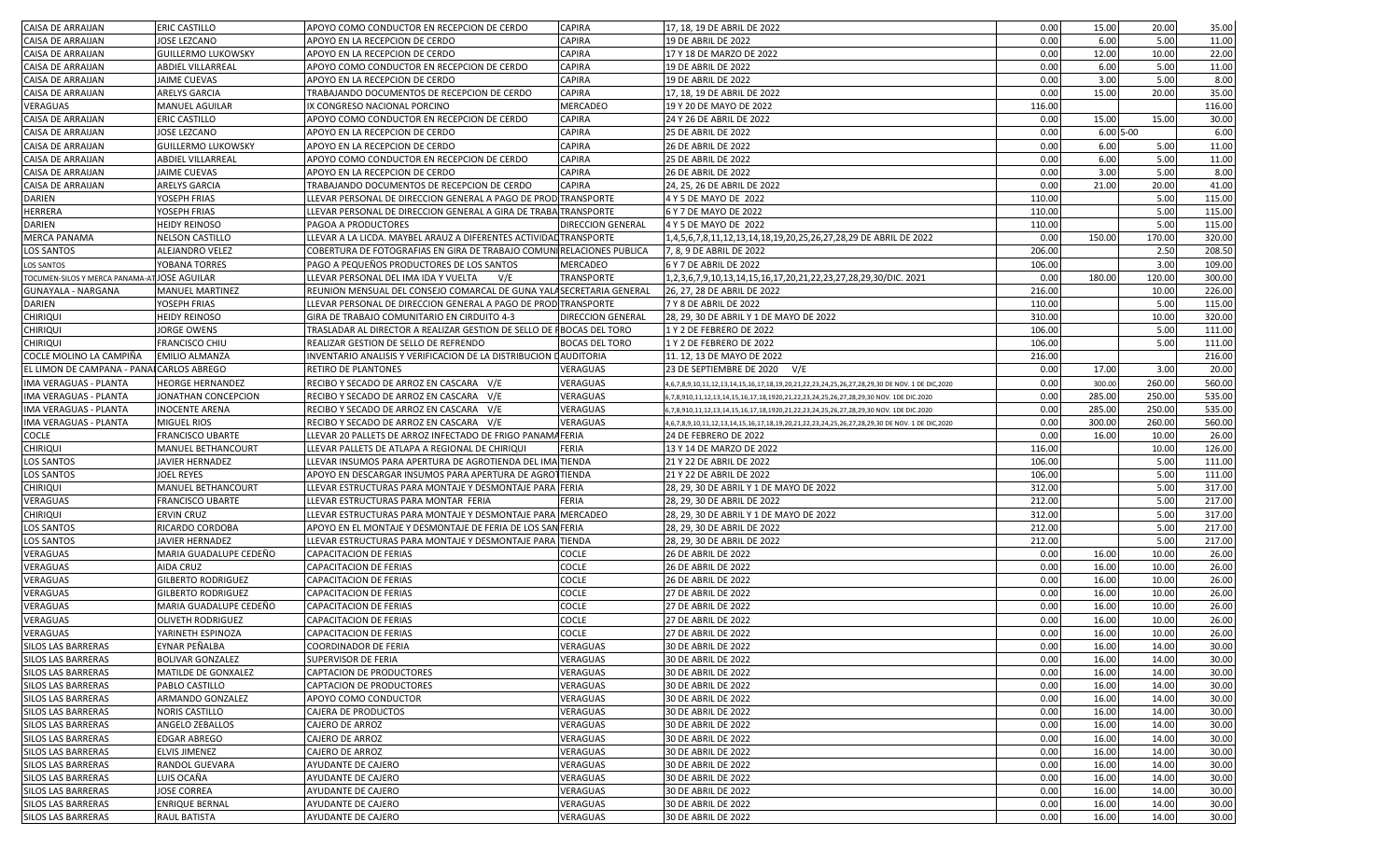| CAISA DE ARRAIJAN                         | <b>ERIC CASTILLO</b>      | APOYO COMO CONDUCTOR EN RECEPCION DE CERDO                            | <b>CAPIRA</b>            | 17, 18, 19 DE ABRIL DE 2022                                                                    | 0.00   | 15.00        | 20.00  | 35.00  |
|-------------------------------------------|---------------------------|-----------------------------------------------------------------------|--------------------------|------------------------------------------------------------------------------------------------|--------|--------------|--------|--------|
|                                           |                           |                                                                       | <b>CAPIRA</b>            |                                                                                                | 0.00   |              | 5.00   |        |
| CAISA DE ARRAIJAN                         | JOSE LEZCANO              | APOYO EN LA RECEPCION DE CERDO                                        |                          | 19 DE ABRIL DE 2022                                                                            |        | 6.00         |        | 11.00  |
| CAISA DE ARRAIJAN                         | <b>GUILLERMO LUKOWSKY</b> | APOYO EN LA RECEPCION DE CERDO                                        | <b>CAPIRA</b>            | 17 Y 18 DE MARZO DE 2022                                                                       | 0.00   | 12.00        | 10.00  | 22.00  |
| CAISA DE ARRAIJAN                         | ABDIEL VILLARREAL         | APOYO COMO CONDUCTOR EN RECEPCION DE CERDO                            | <b>CAPIRA</b>            | 19 DE ABRIL DE 2022                                                                            | 0.00   | 6.00         | 5.00   | 11.00  |
| CAISA DE ARRAIJAN                         | JAIME CUEVAS              | APOYO EN LA RECEPCION DE CERDO                                        | <b>CAPIRA</b>            | 19 DE ABRIL DE 2022                                                                            | 0.00   | 3.00         | 5.00   | 8.00   |
| CAISA DE ARRAIJAN                         | ARELYS GARCIA             | TRABAJANDO DOCUMENTOS DE RECEPCION DE CERDO                           | CAPIRA                   | 17, 18, 19 DE ABRIL DE 2022                                                                    | 0.00   | 15.00        | 20.00  | 35.00  |
| VERAGUAS                                  | MANUEL AGUILAR            | IX CONGRESO NACIONAL PORCINO                                          | <b>MERCADEO</b>          | 19 Y 20 DE MAYO DE 2022                                                                        | 116.00 |              |        | 116.00 |
| CAISA DE ARRAIJAN                         | ERIC CASTILLO             | APOYO COMO CONDUCTOR EN RECEPCION DE CERDO                            | <b>CAPIRA</b>            | 24 Y 26 DE ABRIL DE 2022                                                                       | 0.00   | 15.00        | 15.00  | 30.00  |
| CAISA DE ARRAIJAN                         | JOSE LEZCANO              | APOYO EN LA RECEPCION DE CERDO                                        | <b>CAPIRA</b>            | <b>25 DE ABRIL DE 2022</b>                                                                     | 0.00   | $6.005 - 00$ |        | 6.00   |
| CAISA DE ARRAIJAN                         | <b>GUILLERMO LUKOWSKY</b> | APOYO EN LA RECEPCION DE CERDO                                        | <b>CAPIRA</b>            | <b>26 DE ABRIL DE 2022</b>                                                                     | 0.00   | 6.00         | 5.00   | 11.00  |
| CAISA DE ARRAIJAN                         | <b>ABDIEL VILLARREAL</b>  | APOYO COMO CONDUCTOR EN RECEPCION DE CERDO                            | <b>CAPIRA</b>            | <b>25 DE ABRIL DE 2022</b>                                                                     | 0.00   | 6.00         | 5.00   | 11.00  |
| CAISA DE ARRAIJAN                         | JAIME CUEVAS              | APOYO EN LA RECEPCION DE CERDO                                        | <b>CAPIRA</b>            | <b>26 DE ABRIL DE 2022</b>                                                                     | 0.00   | 3.00         | 5.00   | 8.00   |
| CAISA DE ARRAIJAN                         | ARELYS GARCIA             | TRABAJANDO DOCUMENTOS DE RECEPCION DE CERDO                           | CAPIRA                   | 24, 25, 26 DE ABRIL DE 2022                                                                    | 0.00   | 21.00        | 20.00  | 41.00  |
| DARIEN                                    | YOSEPH FRIAS              | LLEVAR PERSONAL DE DIRECCION GENERAL A PAGO DE PROD TRANSPORTE        |                          | 4 Y 5 DE MAYO DE 2022                                                                          | 110.00 |              | 5.00   | 115.00 |
| HERRERA                                   | YOSEPH FRIAS              | LLEVAR PERSONAL DE DIRECCION GENERAL A GIRA DE TRABA TRANSPORTE       |                          | 6 Y 7 DE MAYO DE 2022                                                                          | 110.00 |              | 5.00   | 115.00 |
| DARIEN                                    | <b>HEIDY REINOSO</b>      | PAGOA A PRODUCTORES                                                   | <b>DIRECCION GENERAL</b> | 4 Y 5 DE MAYO DE 2022                                                                          | 110.00 |              | 5.00   | 115.00 |
| <b>MERCA PANAMA</b>                       | <b>NELSON CASTILLO</b>    | LLEVAR A LA LICDA. MAYBEL ARAUZ A DIFERENTES ACTIVIDAD TRANSPORTE     |                          | 1,4,5,6,7,8,11,12,13,14,18,19,20,25,26,27,28,29 DE ABRIL DE 2022                               | 0.00   | 150.00       | 170.00 | 320.00 |
|                                           |                           |                                                                       |                          |                                                                                                |        |              |        |        |
| <b>LOS SANTOS</b>                         | ALEJANDRO VELEZ           | COBERTURA DE FOTOGRAFIAS EN GIRA DE TRABAJO COMUNIRELACIONES PUBLICA  |                          | 7, 8, 9 DE ABRIL DE 2022                                                                       | 206.00 |              | 2.50   | 208.50 |
| LOS SANTOS                                | YOBANA TORRES             | PAGO A PEQUEÑOS PRODUCTORES DE LOS SANTOS                             | MERCADEO                 | 6 Y 7 DE ABRIL DE 2022                                                                         | 106.00 |              | 3.00   | 109.00 |
| TOCUMEN-SILOS Y MERCA PANAMA-A            | <b>JOSE AGUILAR</b>       | LLEVAR PERSONAL DEL IMA IDA Y VUELTA<br>V/E                           | <b>TRANSPORTE</b>        | 1,2,3,6,7,9,10,13,14,15,16,17,20,21,22,23,27,28,29,30/DIC. 2021                                | 0.00   | 180.00       | 120.00 | 300.00 |
| GUNAYALA - NARGANA                        | MANUEL MARTINEZ           | REUNION MENSUAL DEL CONSEJO COMARCAL DE GUNA YALASECRETARIA GENERAL   |                          | 26, 27, 28 DE ABRIL DE 2022                                                                    | 216.00 |              | 10.00  | 226.00 |
| DARIEN                                    | YOSEPH FRIAS              | LLEVAR PERSONAL DE DIRECCION GENERAL A PAGO DE PROD TRANSPORTE        |                          | 7 Y 8 DE ABRIL DE 2022                                                                         | 110.00 |              | 5.00   | 115.00 |
| <b>CHIRIQUI</b>                           | <b>HEIDY REINOSO</b>      | GIRA DE TRABAJO COMUNITARIO EN CIRDUITO 4-3                           | <b>DIRECCION GENERAL</b> | 28, 29, 30 DE ABRIL Y 1 DE MAYO DE 2022                                                        | 310.00 |              | 10.00  | 320.00 |
| <b>CHIRIQUI</b>                           | JORGE OWENS               | TRASLADAR AL DIRECTOR A REALIZAR GESTION DE SELLO DE FIBOCAS DEL TORO |                          | 1 Y 2 DE FEBRERO DE 2022                                                                       | 106.00 |              | 5.00   | 111.00 |
| CHIRIQUI                                  | FRANCISCO CHIU            | REALIZAR GESTION DE SELLO DE REFRENDO                                 | <b>BOCAS DEL TORO</b>    | 1 Y 2 DE FEBRERO DE 2022                                                                       | 106.00 |              | 5.00   | 111.00 |
| COCLE MOLINO LA CAMPIÑA                   | <b>EMILIO ALMANZA</b>     | INVENTARIO ANALISIS Y VERIFICACION DE LA DISTRIBUCION DAUDITORIA      |                          | 11. 12, 13 DE MAYO DE 2022                                                                     | 216.00 |              |        | 216.00 |
| EL LIMON DE CAMPANA - PANAI CARLOS ABREGO |                           | RETIRO DE PLANTONES                                                   | VERAGUAS                 | 23 DE SEPTIEMBRE DE 2020 V/E                                                                   | 0.00   | 17.00        | 3.00   | 20.00  |
| IMA VERAGUAS - PLANTA                     | <b>HEORGE HERNANDEZ</b>   | RECIBO Y SECADO DE ARROZ EN CASCARA V/E                               | VERAGUAS                 | 4,6,7,8,9,10,11,12,13,14,15,16,17,18,19,20,21,22,23,24,25,26,27,28,29,30 DE NOV. 1 DE DIC,2020 | 0.00   | 300.00       | 260.00 | 560.00 |
| IMA VERAGUAS - PLANTA                     | JONATHAN CONCEPCION       | RECIBO Y SECADO DE ARROZ EN CASCARA V/E                               | VERAGUAS                 | 6,7,8,910,11,12,13,14,15,16,17,18,1920,21,22,23,24,25,26,27,28,29,30 NOV. 1DE DIC.2020         | 0.00   | 285.00       | 250.00 | 535.00 |
| IMA VERAGUAS - PLANTA                     | <b>INOCENTE ARENA</b>     | RECIBO Y SECADO DE ARROZ EN CASCARA V/E                               | VERAGUAS                 | 6,7,8,910,11,12,13,14,15,16,17,18,1920,21,22,23,24,25,26,27,28,29,30 NOV. 1DE DIC.2020         | 0.00   | 285.00       | 250.00 | 535.00 |
| IMA VERAGUAS - PLANTA                     | MIGUEL RIOS               | RECIBO Y SECADO DE ARROZ EN CASCARA V/E                               | VERAGUAS                 | 4,6,7,8,9,10,11,12,13,14,15,16,17,18,19,20,21,22,23,24,25,26,27,28,29,30 DE NOV. 1 DE DIC,2020 | 0.00   | 300.00       | 260.00 | 560.00 |
| Cocle                                     | FRANCISCO UBARTE          | LLEVAR 20 PALLETS DE ARROZ INFECTADO DE FRIGO PANAMA FERIA            |                          | 24 DE FEBRERO DE 2022                                                                          | 0.00   | 16.00        | 10.00  | 26.00  |
| <b>CHIRIQUI</b>                           | MANUEL BETHANCOURT        | LLEVAR PALLETS DE ATLAPA A REGIONAL DE CHIRIQUI                       | <b>FERIA</b>             | 13 Y 14 DE MARZO DE 2022                                                                       | 116.00 |              | 10.00  | 126.00 |
|                                           |                           |                                                                       |                          |                                                                                                |        |              |        |        |
| LOS SANTOS                                | JAVIER HERNADEZ           | LLEVAR INSUMOS PARA APERTURA DE AGROTIENDA DEL IMA TIENDA             |                          | 21 Y 22 DE ABRIL DE 2022                                                                       | 106.00 |              | 5.00   | 111.00 |
| <b>LOS SANTOS</b>                         | <b>JOEL REYES</b>         | APOYO EN DESCARGAR INSUMOS PARA APERTURA DE AGROTTIENDA               |                          | 21 Y 22 DE ABRIL DE 2022                                                                       | 106.00 |              | 5.00   | 111.00 |
| <b>CHIRIQUI</b>                           | MANUEL BETHANCOURT        | LLEVAR ESTRUCTURAS PARA MONTAJE Y DESMONTAJE PARA FERIA               |                          | 28, 29, 30 DE ABRIL Y 1 DE MAYO DE 2022                                                        | 312.00 |              | 5.00   | 317.00 |
| VERAGUAS                                  | <b>FRANCISCO UBARTE</b>   | LLEVAR ESTRUCTURAS PARA MONTAR FERIA                                  | <b>FERIA</b>             | 28, 29, 30 DE ABRIL DE 2022                                                                    | 212.00 |              | 5.00   | 217.00 |
| CHIRIQUI                                  | <b>ERVIN CRUZ</b>         | LLEVAR ESTRUCTURAS PARA MONTAJE Y DESMONTAJE PARA MERCADEO            |                          | 28, 29, 30 DE ABRIL Y 1 DE MAYO DE 2022                                                        | 312.00 |              | 5.00   | 317.00 |
| <b>LOS SANTOS</b>                         | RICARDO CORDOBA           | APOYO EN EL MONTAJE Y DESMONTAJE DE FERIA DE LOS SAN FERIA            |                          | 28, 29, 30 DE ABRIL DE 2022                                                                    | 212.00 |              | 5.00   | 217.00 |
| <b>LOS SANTOS</b>                         | JAVIER HERNADEZ           | LLEVAR ESTRUCTURAS PARA MONTAJE Y DESMONTAJE PARA TIENDA              |                          | 28, 29, 30 DE ABRIL DE 2022                                                                    | 212.00 |              | 5.00   | 217.00 |
| VERAGUAS                                  | MARIA GUADALUPE CEDEÑO    | CAPACITACION DE FERIAS                                                | <b>COCLE</b>             | 26 DE ABRIL DE 2022                                                                            | 0.00   | 16.00        | 10.00  | 26.00  |
| VERAGUAS                                  | AIDA CRUZ                 | CAPACITACION DE FERIAS                                                | <b>COCLE</b>             | 26 DE ABRIL DE 2022                                                                            | 0.00   | 16.00        | 10.00  | 26.00  |
| VERAGUAS                                  | <b>GILBERTO RODRIGUEZ</b> | CAPACITACION DE FERIAS                                                | COCLE                    | 26 DE ABRIL DE 2022                                                                            | 0.00   | 16.00        | 10.00  | 26.00  |
| VERAGUAS                                  | GILBERTO RODRIGUEZ        | CAPACITACION DE FERIAS                                                | COCLE                    | 27 DE ABRIL DE 2022                                                                            | 0.00   | 16.00        | 10.00  | 26.00  |
| VERAGUAS                                  | MARIA GUADALUPE CEDEÑO    | CAPACITACION DE FERIAS                                                | COCLE                    | <b>27 DE ABRIL DE 2022</b>                                                                     | 0.00   | 16.00        | 10.00  | 26.00  |
| VERAGUAS                                  | OLIVETH RODRIGUEZ         | CAPACITACION DE FERIAS                                                | COCLE                    | 27 DE ABRIL DE 2022                                                                            | 0.00   | 16.00        | 10.00  | 26.00  |
| VERAGUAS                                  | YARINETH ESPINOZA         | CAPACITACION DE FERIAS                                                | COCLE                    | <b>27 DE ABRIL DE 2022</b>                                                                     | 0.00   | 16.00        | 10.00  | 26.00  |
| SILOS LAS BARRERAS                        | EYNAR PEÑALBA             | COORDINADOR DE FERIA                                                  | VERAGUAS                 | 30 DE ABRIL DE 2022                                                                            | 0.00   | 16.00        | 14.00  | 30.00  |
| SILOS LAS BARRERAS                        | <b>BOLIVAR GONZALEZ</b>   | SUPERVISOR DE FERIA                                                   | VERAGUAS                 | 30 DE ABRIL DE 2022                                                                            | 0.00   | 16.00        | 14.00  | 30.00  |
| SILOS LAS BARRERAS                        | MATILDE DE GONXALEZ       | CAPTACION DE PRODUCTORES                                              | VERAGUAS                 | 30 DE ABRIL DE 2022                                                                            | 0.00   | 16.00        | 14.00  | 30.00  |
| SILOS LAS BARRERAS                        | PABLO CASTILLO            | CAPTACION DE PRODUCTORES                                              | VERAGUAS                 | 30 DE ABRIL DE 2022                                                                            | 0.00   | 16.00        | 14.00  | 30.00  |
| SILOS LAS BARRERAS                        | ARMANDO GONZALEZ          | APOYO COMO CONDUCTOR                                                  | VERAGUAS                 | 30 DE ABRIL DE 2022                                                                            | 0.00   | 16.00        | 14.00  | 30.00  |
| SILOS LAS BARRERAS                        | NORIS CASTILLO            | CAJERA DE PRODUCTOS                                                   | VERAGUAS                 | 30 DE ABRIL DE 2022                                                                            | 0.00   | 16.00        | 14.00  | 30.00  |
|                                           |                           |                                                                       | VERAGUAS                 |                                                                                                |        | 16.00        | 14.00  |        |
| SILOS LAS BARRERAS                        | ANGELO ZEBALLOS           | CAJERO DE ARROZ                                                       |                          | 30 DE ABRIL DE 2022                                                                            | 0.00   |              |        | 30.00  |
| SILOS LAS BARRERAS                        | <b>EDGAR ABREGO</b>       | CAJERO DE ARROZ                                                       | VERAGUAS                 | 30 DE ABRIL DE 2022                                                                            | 0.00   | 16.00        | 14.00  | 30.00  |
| SILOS LAS BARRERAS                        | <b>ELVIS JIMENEZ</b>      | CAJERO DE ARROZ                                                       | VERAGUAS                 | 30 DE ABRIL DE 2022                                                                            | 0.00   | 16.00        | 14.00  | 30.00  |
| SILOS LAS BARRERAS                        | RANDOL GUEVARA            | AYUDANTE DE CAJERO                                                    | VERAGUAS                 | 30 DE ABRIL DE 2022                                                                            | 0.00   | 16.00        | 14.00  | 30.00  |
| SILOS LAS BARRERAS                        | LUIS OCAÑA                | AYUDANTE DE CAJERO                                                    | VERAGUAS                 | 30 DE ABRIL DE 2022                                                                            | 0.00   | 16.00        | 14.00  | 30.00  |
| SILOS LAS BARRERAS                        | JOSE CORREA               | AYUDANTE DE CAJERO                                                    | VERAGUAS                 | 30 DE ABRIL DE 2022                                                                            | 0.00   | 16.00        | 14.00  | 30.00  |
| SILOS LAS BARRERAS                        | <b>ENRIQUE BERNAL</b>     | AYUDANTE DE CAJERO                                                    | VERAGUAS                 | 30 DE ABRIL DE 2022                                                                            | 0.00   | 16.00        | 14.00  | 30.00  |
| SILOS LAS BARRERAS                        | RAUL BATISTA              | AYUDANTE DE CAJERO                                                    | VERAGUAS                 | 30 DE ABRIL DE 2022                                                                            | 0.00   | 16.00        | 14.00  | 30.00  |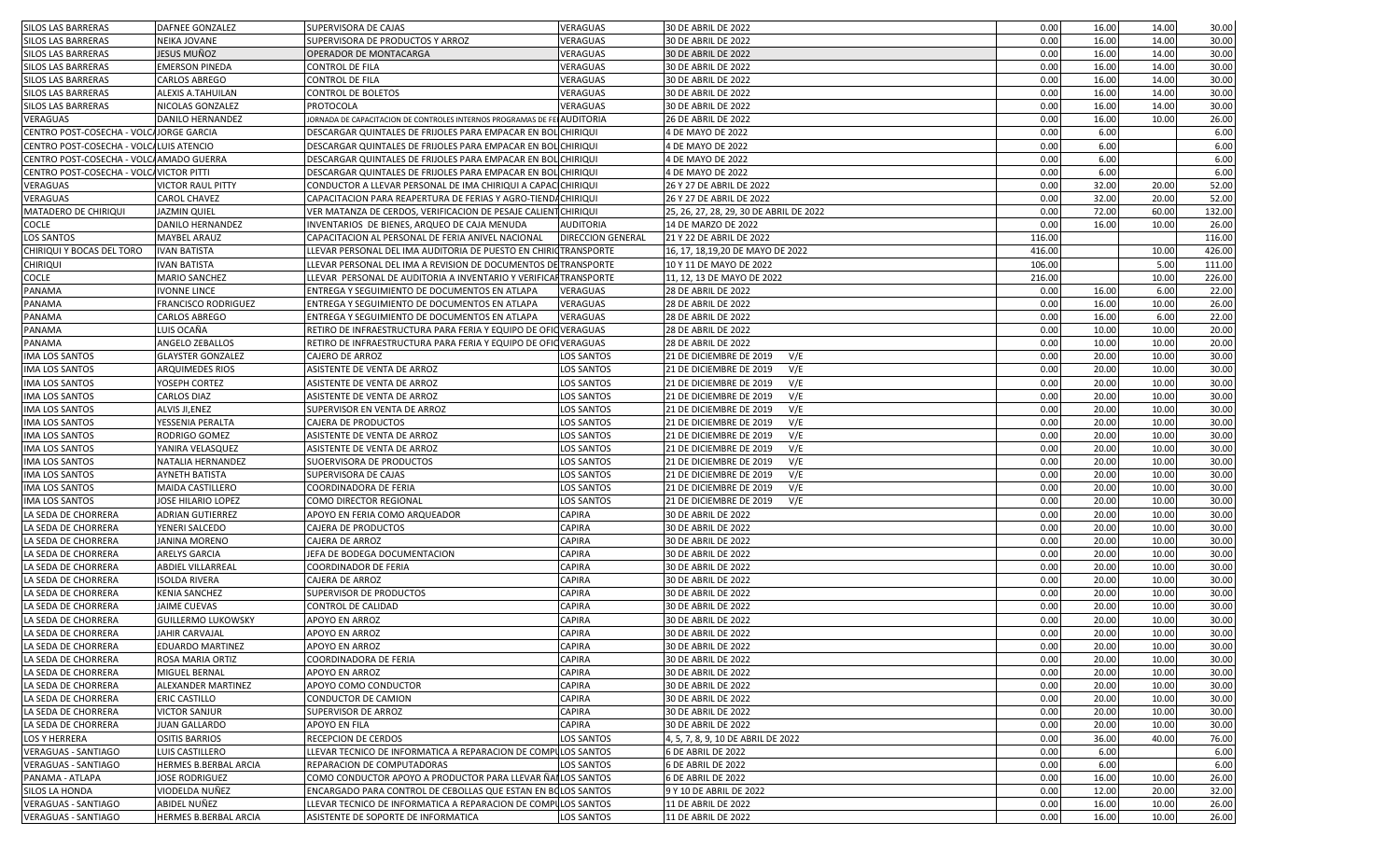| SILOS LAS BARRERAS                       | <b>DAFNEE GONZALEZ</b>       | SUPERVISORA DE CAJAS                                                    | VERAGUAS                 | 30 DE ABRIL DE 2022                     | 0.00   | 16.00 | 14.00 | 30.00  |
|------------------------------------------|------------------------------|-------------------------------------------------------------------------|--------------------------|-----------------------------------------|--------|-------|-------|--------|
| SILOS LAS BARRERAS                       | NEIKA JOVANE                 | SUPERVISORA DE PRODUCTOS Y ARROZ                                        | VERAGUAS                 | 30 DE ABRIL DE 2022                     | 0.00   | 16.00 | 14.00 | 30.00  |
| SILOS LAS BARRERAS                       | JESUS MUÑOZ                  | OPERADOR DE MONTACARGA                                                  | VERAGUAS                 | 30 DE ABRIL DE 2022                     | 0.00   | 16.00 | 14.00 | 30.00  |
| SILOS LAS BARRERAS                       | <b>EMERSON PINEDA</b>        | CONTROL DE FILA                                                         | VERAGUAS                 | 30 DE ABRIL DE 2022                     | 0.00   | 16.00 | 14.00 | 30.00  |
| SILOS LAS BARRERAS                       | <b>CARLOS ABREGO</b>         | CONTROL DE FILA                                                         | VERAGUAS                 | 30 DE ABRIL DE 2022                     | 0.00   | 16.00 | 14.00 | 30.00  |
| SILOS LAS BARRERAS                       | ALEXIS A.TAHUILAN            | <b>CONTROL DE BOLETOS</b>                                               | VERAGUAS                 | 30 DE ABRIL DE 2022                     | 0.00   | 16.00 | 14.00 | 30.00  |
| SILOS LAS BARRERAS                       | NICOLAS GONZALEZ             | PROTOCOLA                                                               | VERAGUAS                 | 30 DE ABRIL DE 2022                     | 0.00   | 16.00 | 14.00 | 30.00  |
|                                          |                              |                                                                         |                          |                                         |        |       |       |        |
| VERAGUAS                                 | DANILO HERNANDEZ             | JORNADA DE CAPACITACION DE CONTROLES INTERNOS PROGRAMAS DE FE AUDITORIA |                          | 26 DE ABRIL DE 2022                     | 0.00   | 16.00 | 10.00 | 26.00  |
| CENTRO POST-COSECHA - VOLCAJORGE GARCIA  |                              | DESCARGAR QUINTALES DE FRIJOLES PARA EMPACAR EN BOL CHIRIQUI            |                          | 4 DE MAYO DE 2022                       | 0.00   | 6.00  |       | 6.00   |
| CENTRO POST-COSECHA - VOLCALUIS ATENCIO  |                              | DESCARGAR QUINTALES DE FRIJOLES PARA EMPACAR EN BOL CHIRIQUI            |                          | 4 DE MAYO DE 2022                       | 0.00   | 6.00  |       | 6.00   |
| CENTRO POST-COSECHA - VOLCA AMADO GUERRA |                              | DESCARGAR QUINTALES DE FRIJOLES PARA EMPACAR EN BOL CHIRIQUI            |                          | 4 DE MAYO DE 2022                       | 0.00   | 6.00  |       | 6.00   |
| CENTRO POST-COSECHA - VOLCAVICTOR PITTI  |                              | DESCARGAR QUINTALES DE FRIJOLES PARA EMPACAR EN BOL CHIRIQUI            |                          | 4 DE MAYO DE 2022                       | 0.00   | 6.00  |       | 6.00   |
| VERAGUAS                                 | VICTOR RAUL PITTY            | CONDUCTOR A LLEVAR PERSONAL DE IMA CHIRIQUI A CAPAC CHIRIQUI            |                          | 26 Y 27 DE ABRIL DE 2022                | 0.00   | 32.00 | 20.00 | 52.00  |
| VERAGUAS                                 | <b>CAROL CHAVEZ</b>          | CAPACITACION PARA REAPERTURA DE FERIAS Y AGRO-TIENDACHIRIQUI            |                          | 26 Y 27 DE ABRIL DE 2022                | 0.00   | 32.00 | 20.00 | 52.00  |
| MATADERO DE CHIRIQUI                     | <b>JAZMIN QUIEL</b>          | VER MATANZA DE CERDOS, VERIFICACION DE PESAJE CALIENT CHIRIQUI          |                          | 25, 26, 27, 28, 29, 30 DE ABRIL DE 2022 | 0.00   | 72.00 | 60.00 | 132.00 |
| <b>COCLE</b>                             | DANILO HERNANDEZ             | INVENTARIOS DE BIENES, ARQUEO DE CAJA MENUDA                            | <b>AUDITORIA</b>         | 14 DE MARZO DE 2022                     | 0.00   | 16.00 | 10.00 | 26.00  |
| <b>LOS SANTOS</b>                        | <b>MAYBEL ARAUZ</b>          | CAPACITACION AL PERSONAL DE FERIA ANIVEL NACIONAL                       | <b>DIRECCION GENERAL</b> | 21 Y 22 DE ABRIL DE 2022                | 116.00 |       |       | 116.00 |
| CHIRIQUI Y BOCAS DEL TORO                | <b>IVAN BATISTA</b>          | LLEVAR PERSONAL DEL IMA AUDITORIA DE PUESTO EN CHIRIOTRANSPORTE         |                          | 16, 17, 18, 19, 20 DE MAYO DE 2022      | 416.00 |       | 10.00 | 426.00 |
| <b>CHIRIQUI</b>                          | <b>IVAN BATISTA</b>          | LLEVAR PERSONAL DEL IMA A REVISION DE DOCUMENTOS DE TRANSPORTE          |                          | 10 Y 11 DE MAYO DE 2022                 | 106.00 |       | 5.00  | 111.00 |
| <b>COCLE</b>                             | <b>MARIO SANCHEZ</b>         | LLEVAR PERSONAL DE AUDITORIA A INVENTARIO Y VERIFICAFTRANSPORTE         |                          | 11, 12, 13 DE MAYO DE 2022              | 216.00 |       | 10.00 | 226.00 |
| PANAMA                                   | <b>IVONNE LINCE</b>          | ENTREGA Y SEGUIMIENTO DE DOCUMENTOS EN ATLAPA                           | VERAGUAS                 | 28 DE ABRIL DE 2022                     | 0.00   | 16.00 | 6.00  | 22.00  |
| PANAMA                                   | <b>FRANCISCO RODRIGUEZ</b>   | ENTREGA Y SEGUIMIENTO DE DOCUMENTOS EN ATLAPA                           | VERAGUAS                 | 28 DE ABRIL DE 2022                     | 0.00   | 16.00 | 10.00 | 26.00  |
| PANAMA                                   | CARLOS ABREGO                | ENTREGA Y SEGUIMIENTO DE DOCUMENTOS EN ATLAPA                           | VERAGUAS                 | 28 DE ABRIL DE 2022                     | 0.00   | 16.00 | 6.00  | 22.00  |
| PANAMA                                   | LUIS OCAÑA                   | RETIRO DE INFRAESTRUCTURA PARA FERIA Y EQUIPO DE OFIQ VERAGUAS          |                          | 28 DE ABRIL DE 2022                     | 0.00   | 10.00 | 10.00 | 20.00  |
| PANAMA                                   | ANGELO ZEBALLOS              | RETIRO DE INFRAESTRUCTURA PARA FERIA Y EQUIPO DE OFIOVERAGUAS           |                          | 28 DE ABRIL DE 2022                     | 0.00   | 10.00 | 10.00 | 20.00  |
| <b>IMA LOS SANTOS</b>                    | <b>GLAYSTER GONZALEZ</b>     | CAJERO DE ARROZ                                                         | <b>LOS SANTOS</b>        | V/E<br>21 DE DICIEMBRE DE 2019          | 0.00   | 20.00 | 10.00 | 30.00  |
| <b>IMA LOS SANTOS</b>                    | ARQUIMEDES RIOS              | ASISTENTE DE VENTA DE ARROZ                                             | <b>LOS SANTOS</b>        | V/E<br>21 DE DICIEMBRE DE 2019          | 0.00   | 20.00 | 10.00 | 30.00  |
| IMA LOS SANTOS                           | YOSEPH CORTEZ                | ASISTENTE DE VENTA DE ARROZ                                             | <b>LOS SANTOS</b>        | V/E<br>21 DE DICIEMBRE DE 2019          | 0.00   | 20.00 | 10.00 | 30.00  |
| <b>IMA LOS SANTOS</b>                    | <b>CARLOS DIAZ</b>           | ASISTENTE DE VENTA DE ARROZ                                             | <b>LOS SANTOS</b>        | 21 DE DICIEMBRE DE 2019<br>V/E          | 0.00   | 20.00 | 10.00 | 30.00  |
| <b>IMA LOS SANTOS</b>                    | ALVIS JI, ENEZ               |                                                                         |                          | V/E                                     | 0.00   | 20.00 | 10.00 | 30.00  |
|                                          |                              | SUPERVISOR EN VENTA DE ARROZ                                            | <b>LOS SANTOS</b>        | 21 DE DICIEMBRE DE 2019                 |        |       |       |        |
| IMA LOS SANTOS                           | YESSENIA PERALTA             | CAJERA DE PRODUCTOS                                                     | <b>LOS SANTOS</b>        | V/E<br>21 DE DICIEMBRE DE 2019          | 0.00   | 20.00 | 10.00 | 30.00  |
| IMA LOS SANTOS                           | RODRIGO GOMEZ                | ASISTENTE DE VENTA DE ARROZ                                             | <b>LOS SANTOS</b>        | V/E<br>21 DE DICIEMBRE DE 2019          | 0.00   | 20.00 | 10.00 | 30.00  |
| <b>IMA LOS SANTOS</b>                    | YANIRA VELASQUEZ             | ASISTENTE DE VENTA DE ARROZ                                             | <b>LOS SANTOS</b>        | 21 DE DICIEMBRE DE 2019<br>V/E          | 0.00   | 20.00 | 10.00 | 30.00  |
| IMA LOS SANTOS                           | NATALIA HERNANDEZ            | SUOERVISORA DE PRODUCTOS                                                | <b>LOS SANTOS</b>        | V/E<br>21 DE DICIEMBRE DE 2019          | 0.00   | 20.00 | 10.00 | 30.00  |
| <b>IMA LOS SANTOS</b>                    | AYNETH BATISTA               | SUPERVISORA DE CAJAS                                                    | <b>LOS SANTOS</b>        | 21 DE DICIEMBRE DE 2019<br>V/E          | 0.00   | 20.00 | 10.00 | 30.00  |
| <b>IMA LOS SANTOS</b>                    | MAIDA CASTILLERO             | COORDINADORA DE FERIA                                                   | <b>LOS SANTOS</b>        | 21 DE DICIEMBRE DE 2019<br>V/E          | 0.00   | 20.00 | 10.00 | 30.00  |
| <b>IMA LOS SANTOS</b>                    | JOSE HILARIO LOPEZ           | COMO DIRECTOR REGIONAL                                                  | <b>LOS SANTOS</b>        | V/E<br>21 DE DICIEMBRE DE 2019          | 0.00   | 20.00 | 10.00 | 30.00  |
| LA SEDA DE CHORRERA                      | ADRIAN GUTIERREZ             | APOYO EN FERIA COMO ARQUEADOR                                           | CAPIRA                   | 30 DE ABRIL DE 2022                     | 0.00   | 20.00 | 10.00 | 30.00  |
| LA SEDA DE CHORRERA                      | YENERI SALCEDO               | CAJERA DE PRODUCTOS                                                     | CAPIRA                   | 30 DE ABRIL DE 2022                     | 0.00   | 20.00 | 10.00 | 30.00  |
| LA SEDA DE CHORRERA                      | JANINA MORENO                | <b>CAJERA DE ARROZ</b>                                                  | CAPIRA                   | 30 DE ABRIL DE 2022                     | 0.00   | 20.00 | 10.00 | 30.00  |
| LA SEDA DE CHORRERA                      | ARELYS GARCIA                | JEFA DE BODEGA DOCUMENTACION                                            | CAPIRA                   | 30 DE ABRIL DE 2022                     | 0.00   | 20.00 | 10.00 | 30.00  |
| LA SEDA DE CHORRERA                      | <b>ABDIEL VILLARREAL</b>     | <b>COORDINADOR DE FERIA</b>                                             | <b>CAPIRA</b>            | 30 DE ABRIL DE 2022                     | 0.00   | 20.00 | 10.00 | 30.00  |
| LA SEDA DE CHORRERA                      | <b>ISOLDA RIVERA</b>         | CAJERA DE ARROZ                                                         | <b>CAPIRA</b>            | 30 DE ABRIL DE 2022                     | 0.00   | 20.00 | 10.00 | 30.00  |
| LA SEDA DE CHORRERA                      | <b>KENIA SANCHEZ</b>         | SUPERVISOR DE PRODUCTOS                                                 | CAPIRA                   | 30 DE ABRIL DE 2022                     | 0.00   | 20.00 | 10.00 | 30.00  |
| LA SEDA DE CHORRERA                      | JAIME CUEVAS                 | CONTROL DE CALIDAD                                                      | <b>CAPIRA</b>            | 30 DE ABRIL DE 2022                     | 0.00   | 20.00 | 10.00 | 30.00  |
| LA SEDA DE CHORRERA                      | <b>GUILLERMO LUKOWSKY</b>    | APOYO EN ARROZ                                                          | <b>CAPIRA</b>            | 30 DE ABRIL DE 2022                     | 0.00   | 20.00 | 10.00 | 30.00  |
| LA SEDA DE CHORRERA                      | <b>JAHIR CARVAJAL</b>        | APOYO EN ARROZ                                                          | <b>CAPIRA</b>            | 30 DE ABRIL DE 2022                     | 0.00   | 20.00 | 10.00 | 30.00  |
| LA SEDA DE CHORRERA                      | <b>EDUARDO MARTINEZ</b>      | APOYO EN ARROZ                                                          | CAPIRA                   | 30 DE ABRIL DE 2022                     | 0.00   | 20.00 | 10.00 | 30.00  |
| LA SEDA DE CHORRERA                      | ROSA MARIA ORTIZ             | <b>COORDINADORA DE FERIA</b>                                            | <b>CAPIRA</b>            | 30 DE ABRIL DE 2022                     | 0.00   | 20.00 | 10.00 | 30.00  |
| LA SEDA DE CHORRERA                      | MIGUEL BERNAL                | APOYO EN ARROZ                                                          | CAPIRA                   | 30 DE ABRIL DE 2022                     | 0.00   | 20.00 | 10.00 | 30.00  |
| LA SEDA DE CHORRERA                      | ALEXANDER MARTINEZ           | APOYO COMO CONDUCTOR                                                    | CAPIRA                   | 30 DE ABRIL DE 2022                     | 0.00   | 20.00 | 10.00 | 30.00  |
| LA SEDA DE CHORRERA                      | <b>ERIC CASTILLO</b>         | CONDUCTOR DE CAMION                                                     | <b>CAPIRA</b>            | 30 DE ABRIL DE 2022                     | 0.00   | 20.00 | 10.00 | 30.00  |
| LA SEDA DE CHORRERA                      | <b>VICTOR SANJUR</b>         | SUPERVISOR DE ARROZ                                                     | CAPIRA                   | 30 DE ABRIL DE 2022                     | 0.00   | 20.00 | 10.00 | 30.00  |
| LA SEDA DE CHORRERA                      | <b>JUAN GALLARDO</b>         | APOYO EN FILA                                                           | <b>CAPIRA</b>            | 30 DE ABRIL DE 2022                     | 0.00   | 20.00 | 10.00 | 30.00  |
|                                          | <b>OSITIS BARRIOS</b>        | RECEPCION DE CERDOS                                                     |                          |                                         |        |       |       |        |
| <b>LOS Y HERRERA</b>                     |                              |                                                                         | <b>LOS SANTOS</b>        | 4, 5, 7, 8, 9, 10 DE ABRIL DE 2022      | 0.00   | 36.00 | 40.00 | 76.00  |
| VERAGUAS - SANTIAGO                      | LUIS CASTILLERO              | LLEVAR TECNICO DE INFORMATICA A REPARACION DE COMPULOS SANTOS           |                          | 6 DE ABRIL DE 2022                      | 0.00   | 6.00  |       | 6.00   |
| <b>VERAGUAS - SANTIAGO</b>               | HERMES B.BERBAL ARCIA        | REPARACION DE COMPUTADORAS                                              | <b>LOS SANTOS</b>        | 6 DE ABRIL DE 2022                      | 0.00   | 6.00  |       | 6.00   |
| PANAMA - ATLAPA                          | <b>JOSE RODRIGUEZ</b>        | COMO CONDUCTOR APOYO A PRODUCTOR PARA LLEVAR ÑAI LOS SANTOS             |                          | 6 DE ABRIL DE 2022                      | 0.00   | 16.00 | 10.00 | 26.00  |
| SILOS LA HONDA                           | VIODELDA NUÑEZ               | ENCARGADO PARA CONTROL DE CEBOLLAS QUE ESTAN EN BOLOS SANTOS            |                          | 9 Y 10 DE ABRIL DE 2022                 | 0.00   | 12.00 | 20.00 | 32.00  |
| <b>VERAGUAS - SANTIAGO</b>               | ABIDEL NUÑEZ                 | LLEVAR TECNICO DE INFORMATICA A REPARACION DE COMPULOS SANTOS           |                          | 11 DE ABRIL DE 2022                     | 0.00   | 16.00 | 10.00 | 26.00  |
| <b>VERAGUAS - SANTIAGO</b>               | <b>HERMES B.BERBAL ARCIA</b> | ASISTENTE DE SOPORTE DE INFORMATICA                                     | <b>LOS SANTOS</b>        | 11 DE ABRIL DE 2022                     | 0.00   | 16.00 | 10.00 | 26.00  |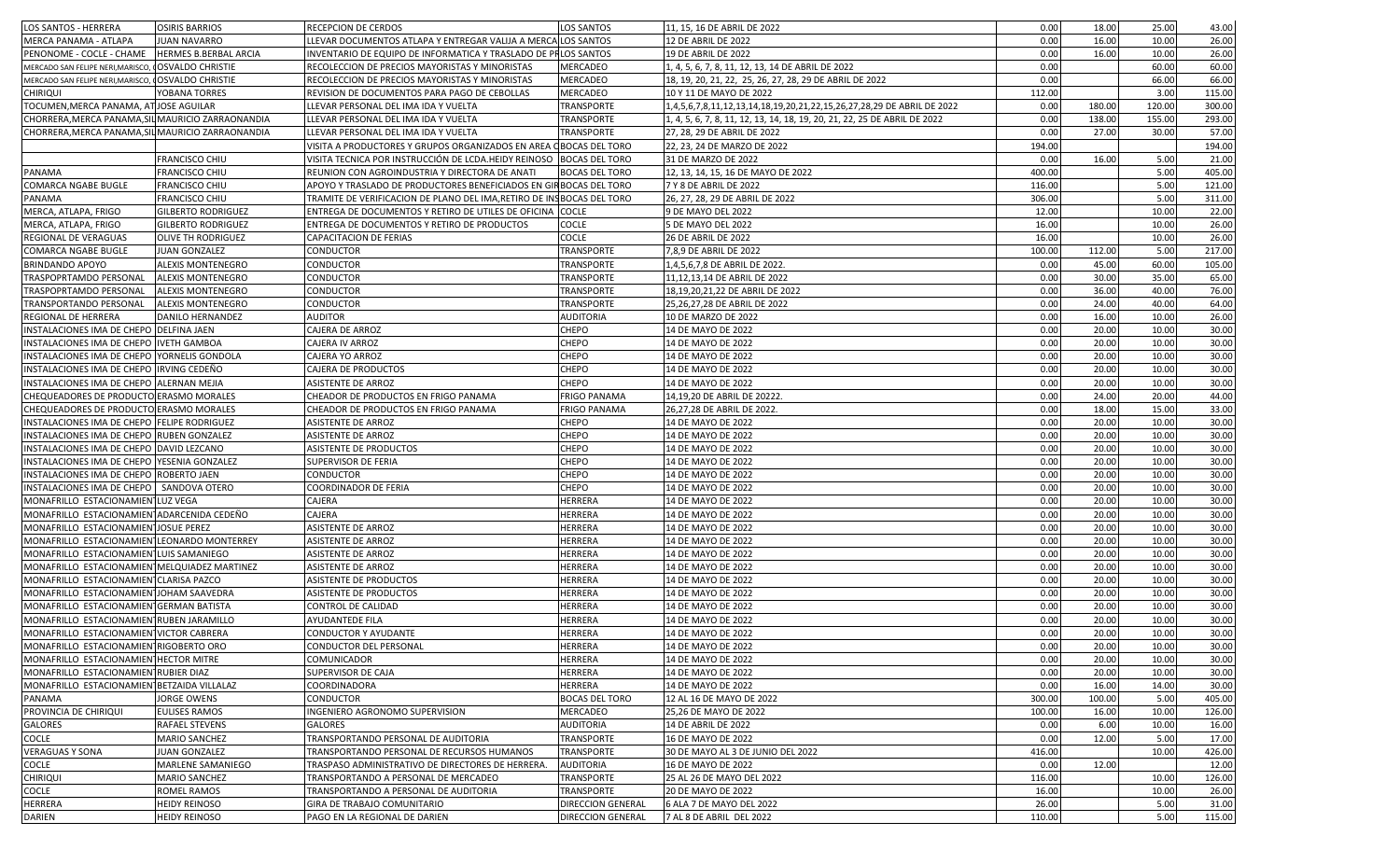| LOS SANTOS - HERRERA                                                                     | <b>OSIRIS BARRIOS</b>     | <b>RECEPCION DE CERDOS</b>                                            | <b>LOS SANTOS</b>     | 11, 15, 16 DE ABRIL DE 2022                                               | 0.00   | 18.00  | 25.00  | 43.00  |
|------------------------------------------------------------------------------------------|---------------------------|-----------------------------------------------------------------------|-----------------------|---------------------------------------------------------------------------|--------|--------|--------|--------|
| MERCA PANAMA - ATLAPA                                                                    | <b>JUAN NAVARRO</b>       | LLEVAR DOCUMENTOS ATLAPA Y ENTREGAR VALIJA A MERCALLOS SANTOS         |                       | 12 DE ABRIL DE 2022                                                       | 0.00   | 16.00  | 10.00  | 26.00  |
| PENONOME - COCLE - CHAME                                                                 | HERMES B.BERBAL ARCIA     | INVENTARIO DE EQUIPO DE INFORMATICA Y TRASLADO DE PHLOS SANTOS        |                       | 19 DE ABRIL DE 2022                                                       | 0.00   | 16.00  | 10.00  | 26.00  |
| MERCADO SAN FELIPE NERI, MARISCO, OSVALDO CHRISTIE                                       |                           | RECOLECCION DE PRECIOS MAYORISTAS Y MINORISTAS                        | MERCADEO              | 1, 4, 5, 6, 7, 8, 11, 12, 13, 14 DE ABRIL DE 2022                         | 0.00   |        | 60.00  | 60.00  |
| MERCADO SAN FELIPE NERI, MARISCO,                                                        | <b>OSVALDO CHRISTIE</b>   | RECOLECCION DE PRECIOS MAYORISTAS Y MINORISTAS                        | MERCADEO              | 18, 19, 20, 21, 22, 25, 26, 27, 28, 29 DE ABRIL DE 2022                   | 0.00   |        | 66.00  | 66.00  |
| <b>CHIRIQUI</b>                                                                          | YOBANA TORRES             | REVISION DE DOCUMENTOS PARA PAGO DE CEBOLLAS                          | MERCADEO              | 10 Y 11 DE MAYO DE 2022                                                   | 112.00 |        | 3.00   | 115.00 |
| TOCUMEN, MERCA PANAMA, AT JOSE AGUILAR                                                   |                           | LLEVAR PERSONAL DEL IMA IDA Y VUELTA                                  | TRANSPORTE            | 1,4,5,6,7,8,11,12,13,14,18,19,20,21,22,15,26,27,28,29 DE ABRIL DE 2022    | 0.00   | 180.00 | 120.00 | 300.00 |
| CHORRERA, MERCA PANAMA, SIL MAURICIO ZARRAONANDIA                                        |                           | LLEVAR PERSONAL DEL IMA IDA Y VUELTA                                  | <b>TRANSPORTE</b>     | l, 4, 5, 6, 7, 8, 11, 12, 13, 14, 18, 19, 20, 21, 22, 25 DE ABRIL DE 2022 | 0.00   | 138.00 | 155.00 | 293.00 |
| CHORRERA, MERCA PANAMA, SIL MAURICIO ZARRAONANDIA                                        |                           | LLEVAR PERSONAL DEL IMA IDA Y VUELTA                                  | TRANSPORTE            | 27, 28, 29 DE ABRIL DE 2022                                               | 0.00   | 27.00  | 30.00  | 57.00  |
|                                                                                          |                           | VISITA A PRODUCTORES Y GRUPOS ORGANIZADOS EN AREA OBOCAS DEL TORO     |                       | 22, 23, 24 DE MARZO DE 2022                                               | 194.00 |        |        | 194.00 |
|                                                                                          | <b>FRANCISCO CHIU</b>     | VISITA TECNICA POR INSTRUCCIÓN DE LCDA.HEIDY REINOSO                  | <b>BOCAS DEL TORO</b> | 31 DE MARZO DE 2022                                                       | 0.00   | 16.00  | 5.00   | 21.00  |
| PANAMA                                                                                   | FRANCISCO CHIU            | REUNION CON AGROINDUSTRIA Y DIRECTORA DE ANATI                        | <b>BOCAS DEL TORO</b> | 12, 13, 14, 15, 16 DE MAYO DE 2022                                        | 400.00 |        | 5.00   | 405.00 |
| COMARCA NGABE BUGLE                                                                      | FRANCISCO CHIU            | APOYO Y TRASLADO DE PRODUCTORES BENEFICIADOS EN GIRBOCAS DEL TORO     |                       | 7 Y 8 DE ABRIL DE 2022                                                    | 116.00 |        | 5.00   | 121.00 |
| PANAMA                                                                                   | <b>FRANCISCO CHIU</b>     | TRAMITE DE VERIFICACION DE PLANO DEL IMA, RETIRO DE INSBOCAS DEL TORO |                       | 26, 27, 28, 29 DE ABRIL DE 2022                                           | 306.00 |        | 5.00   | 311.00 |
| MERCA, ATLAPA, FRIGO                                                                     | GILBERTO RODRIGUEZ        | ENTREGA DE DOCUMENTOS Y RETIRO DE UTILES DE OFICINA COCLE             |                       | 9 DE MAYO DEL 2022                                                        | 12.00  |        | 10.00  | 22.00  |
| MERCA, ATLAPA, FRIGO                                                                     | GILBERTO RODRIGUEZ        | ENTREGA DE DOCUMENTOS Y RETIRO DE PRODUCTOS                           | COCLE                 | 5 DE MAYO DEL 2022                                                        | 16.00  |        | 10.00  | 26.00  |
| REGIONAL DE VERAGUAS                                                                     | <b>OLIVE TH RODRIGUEZ</b> | CAPACITACION DE FERIAS                                                | COCLE                 | 26 DE ABRIL DE 2022                                                       | 16.00  |        | 10.00  | 26.00  |
| COMARCA NGABE BUGLE                                                                      | JUAN GONZALEZ             | <b>CONDUCTOR</b>                                                      | TRANSPORTE            | 7,8,9 DE ABRIL DE 2022                                                    | 100.00 | 112.00 | 5.00   | 217.00 |
| <b>BRINDANDO APOYO</b>                                                                   | ALEXIS MONTENEGRO         | <b>CONDUCTOR</b>                                                      | TRANSPORTE            | 1,4,5,6,7,8 DE ABRIL DE 2022.                                             | 0.00   | 45.00  | 60.00  | 105.00 |
| TRASPOPRTAMDO PERSONAL                                                                   | ALEXIS MONTENEGRO         | CONDUCTOR                                                             | TRANSPORTE            | 11,12,13,14 DE ABRIL DE 2022                                              | 0.00   | 30.00  | 35.00  | 65.00  |
| TRASPOPRTAMDO PERSONAL                                                                   | <b>ALEXIS MONTENEGRO</b>  | <b>CONDUCTOR</b>                                                      | TRANSPORTE            | 18,19,20,21,22 DE ABRIL DE 2022                                           | 0.00   | 36.00  | 40.00  | 76.00  |
| TRANSPORTANDO PERSONAL                                                                   | ALEXIS MONTENEGRO         | <b>CONDUCTOR</b>                                                      | TRANSPORTE            | 25,26,27,28 DE ABRIL DE 2022                                              | 0.00   | 24.00  | 40.00  | 64.00  |
|                                                                                          |                           | <b>AUDITOR</b>                                                        | AUDITORIA             |                                                                           | 0.00   | 16.00  | 10.00  | 26.00  |
| REGIONAL DE HERRERA<br>INSTALACIONES IMA DE CHEPO DELFINA JAEN                           | DANILO HERNANDEZ          | <b>CAJERA DE ARROZ</b>                                                | CHEPO                 | 10 DE MARZO DE 2022<br>14 DE MAYO DE 2022                                 | 0.00   | 20.00  | 10.00  | 30.00  |
|                                                                                          |                           | <b>CAJERA IV ARROZ</b>                                                | CHEPO                 |                                                                           | 0.00   | 20.00  | 10.00  | 30.00  |
| INSTALACIONES IMA DE CHEPO   IVETH GAMBOA<br>INSTALACIONES IMA DE CHEPO YORNELIS GONDOLA |                           |                                                                       |                       | 14 DE MAYO DE 2022<br>14 DE MAYO DE 2022                                  |        |        |        |        |
|                                                                                          |                           | CAJERA YO ARROZ                                                       | CHEPO                 |                                                                           | 0.00   | 20.00  | 10.00  | 30.00  |
| INSTALACIONES IMA DE CHEPO IRVING CEDEÑO                                                 |                           | CAJERA DE PRODUCTOS                                                   | CHEPO                 | 14 DE MAYO DE 2022                                                        | 0.00   | 20.00  | 10.00  | 30.00  |
| INSTALACIONES IMA DE CHEPO ALERNAN MEJIA                                                 |                           | <b>ASISTENTE DE ARROZ</b>                                             | CHEPO                 | 14 DE MAYO DE 2022                                                        | 0.00   | 20.00  | 10.00  | 30.00  |
| CHEQUEADORES DE PRODUCTO ERASMO MORALES                                                  |                           | CHEADOR DE PRODUCTOS EN FRIGO PANAMA                                  | FRIGO PANAMA          | 14,19,20 DE ABRIL DE 20222.                                               | 0.00   | 24.00  | 20.00  | 44.00  |
| CHEQUEADORES DE PRODUCTO ERASMO MORALES                                                  |                           | CHEADOR DE PRODUCTOS EN FRIGO PANAMA                                  | <b>FRIGO PANAMA</b>   | 26,27,28 DE ABRIL DE 2022.                                                | 0.00   | 18.00  | 15.00  | 33.00  |
| INSTALACIONES IMA DE CHEPO FELIPE RODRIGUEZ                                              |                           | <b>ASISTENTE DE ARROZ</b>                                             | CHEPO                 | 14 DE MAYO DE 2022                                                        | 0.00   | 20.00  | 10.00  | 30.00  |
| INSTALACIONES IMA DE CHEPO RUBEN GONZALEZ                                                |                           | <b>ASISTENTE DE ARROZ</b>                                             | CHEPO                 | 14 DE MAYO DE 2022                                                        | 0.00   | 20.00  | 10.00  | 30.00  |
| INSTALACIONES IMA DE CHEPO DAVID LEZCANO                                                 |                           | ASISTENTE DE PRODUCTOS                                                | CHEPO                 | 14 DE MAYO DE 2022                                                        | 0.00   | 20.00  | 10.00  | 30.00  |
| INSTALACIONES IMA DE CHEPO YESENIA GONZALEZ                                              |                           | <b>SUPERVISOR DE FERIA</b>                                            | CHEPO                 | 14 DE MAYO DE 2022                                                        | 0.00   | 20.00  | 10.00  | 30.00  |
| INSTALACIONES IMA DE CHEPO ROBERTO JAEN                                                  |                           | <b>CONDUCTOR</b>                                                      | CHEPO                 | 14 DE MAYO DE 2022                                                        | 0.00   | 20.00  | 10.00  | 30.00  |
| INSTALACIONES IMA DE CHEPO                                                               | SANDOVA OTERO             | <b>COORDINADOR DE FERIA</b>                                           | CHEPO                 | 14 DE MAYO DE 2022                                                        | 0.00   | 20.00  | 10.00  | 30.00  |
| MONAFRILLO ESTACIONAMIEN LUZ VEGA                                                        |                           | CAJERA                                                                | <b>HERRERA</b>        | 14 DE MAYO DE 2022                                                        | 0.00   | 20.00  | 10.00  | 30.00  |
| MONAFRILLO ESTACIONAMIEN ADARCENIDA CEDEÑO                                               |                           | <b>CAJERA</b>                                                         | <b>HERRERA</b>        | 14 DE MAYO DE 2022                                                        | 0.00   | 20.00  | 10.00  | 30.00  |
| MONAFRILLO ESTACIONAMIEN JOSUE PEREZ                                                     |                           | ASISTENTE DE ARROZ                                                    | HERRERA               | 14 DE MAYO DE 2022                                                        | 0.00   | 20.00  | 10.00  | 30.00  |
| MONAFRILLO ESTACIONAMIEN LEONARDO MONTERREY                                              |                           | <b>ASISTENTE DE ARROZ</b>                                             | HERRERA               | 14 DE MAYO DE 2022                                                        | 0.00   | 20.00  | 10.00  | 30.00  |
| MONAFRILLO ESTACIONAMIEN LUIS SAMANIEGO                                                  |                           | <b>ASISTENTE DE ARROZ</b>                                             | <b>HERRERA</b>        | 14 DE MAYO DE 2022                                                        | 0.00   | 20.00  | 10.00  | 30.00  |
| MONAFRILLO ESTACIONAMIEN MELQUIADEZ MARTINEZ                                             |                           | <b>ASISTENTE DE ARROZ</b>                                             | HERRERA               | 14 DE MAYO DE 2022                                                        | 0.00   | 20.00  | 10.00  | 30.00  |
| MONAFRILLO ESTACIONAMIEN CLARISA PAZCO                                                   |                           | ASISTENTE DE PRODUCTOS                                                | HERRERA               | 14 DE MAYO DE 2022                                                        | 0.00   | 20.00  | 10.00  | 30.00  |
| MONAFRILLO ESTACIONAMIEN JOHAM SAAVEDRA                                                  |                           | ASISTENTE DE PRODUCTOS                                                | <b>HERRERA</b>        | 14 DE MAYO DE 2022                                                        | 0.00   | 20.00  | 10.00  | 30.00  |
| MONAFRILLO ESTACIONAMIEN GERMAN BATISTA                                                  |                           | <b>CONTROL DE CALIDAD</b>                                             | HERRERA               | 14 DE MAYO DE 2022                                                        | 0.00   | 20.00  | 10.00  | 30.00  |
| MONAFRILLO ESTACIONAMIEN RUBEN JARAMILLO                                                 |                           | <b>AYUDANTEDE FILA</b>                                                | <b>HERRERA</b>        | 14 DE MAYO DE 2022                                                        | 0.00   | 20.00  | 10.00  | 30.00  |
| MONAFRILLO ESTACIONAMIEN VICTOR CABRERA                                                  |                           | <b>CONDUCTOR Y AYUDANTE</b>                                           | HERRERA               | 14 DE MAYO DE 2022                                                        | 0.00   | 20.00  | 10.00  | 30.00  |
| MONAFRILLO ESTACIONAMIEN RIGOBERTO ORO                                                   |                           | CONDUCTOR DEL PERSONAL                                                | HERRERA               | 14 DE MAYO DE 2022                                                        | 0.00   | 20.00  | 10.00  | 30.00  |
| MONAFRILLO ESTACIONAMIEN HECTOR MITRE                                                    |                           | COMUNICADOR                                                           | HERRERA               | 14 DE MAYO DE 2022                                                        | 0.00   | 20.00  | 10.00  | 30.00  |
| MONAFRILLO ESTACIONAMIEN RUBIER DIAZ                                                     |                           | SUPERVISOR DE CAJA                                                    | HERRERA               | 14 DE MAYO DE 2022                                                        | 0.00   | 20.00  | 10.00  | 30.00  |
| MONAFRILLO ESTACIONAMIEN BETZAIDA VILLALAZ                                               |                           | COORDINADORA                                                          | HERRERA               | 14 DE MAYO DE 2022                                                        | 0.00   | 16.00  | 14.00  | 30.00  |
| PANAMA                                                                                   | JORGE OWENS               | <b>CONDUCTOR</b>                                                      | <b>BOCAS DEL TORO</b> | 12 AL 16 DE MAYO DE 2022                                                  | 300.00 | 100.00 | 5.00   | 405.00 |
| PROVINCIA DE CHIRIQUI                                                                    | <b>EULISES RAMOS</b>      | INGENIERO AGRONOMO SUPERVISION                                        | MERCADEO              | 25,26 DE MAYO DE 2022                                                     | 100.00 | 16.00  | 10.00  | 126.00 |
| GALORES                                                                                  | RAFAEL STEVENS            | <b>GALORES</b>                                                        | AUDITORIA             | 14 DE ABRIL DE 2022                                                       | 0.00   | 6.00   | 10.00  | 16.00  |
| COCLE                                                                                    | <b>MARIO SANCHEZ</b>      | TRANSPORTANDO PERSONAL DE AUDITORIA                                   | TRANSPORTE            | 16 DE MAYO DE 2022                                                        | 0.00   | 12.00  | 5.00   | 17.00  |
| <b>VERAGUAS Y SONA</b>                                                                   | JUAN GONZALEZ             | TRANSPORTANDO PERSONAL DE RECURSOS HUMANOS                            | TRANSPORTE            | 30 DE MAYO AL 3 DE JUNIO DEL 2022                                         | 416.00 |        | 10.00  | 426.00 |
| COCLE                                                                                    | MARLENE SAMANIEGO         | TRASPASO ADMINISTRATIVO DE DIRECTORES DE HERRERA.                     | <b>AUDITORIA</b>      | 16 DE MAYO DE 2022                                                        | 0.00   | 12.00  |        | 12.00  |
| <b>CHIRIQUI</b>                                                                          | <b>MARIO SANCHEZ</b>      | TRANSPORTANDO A PERSONAL DE MERCADEO                                  | TRANSPORTE            | 25 AL 26 DE MAYO DEL 2022                                                 | 116.00 |        | 10.00  | 126.00 |
| COCLE                                                                                    | ROMEL RAMOS               | TRANSPORTANDO A PERSONAL DE AUDITORIA                                 | <b>TRANSPORTE</b>     | 20 DE MAYO DE 2022                                                        | 16.00  |        | 10.00  | 26.00  |
| HERRERA                                                                                  | <b>HEIDY REINOSO</b>      | GIRA DE TRABAJO COMUNITARIO                                           | DIRECCION GENERAL     | 6 ALA 7 DE MAYO DEL 2022                                                  | 26.00  |        | 5.00   | 31.00  |
| DARIEN                                                                                   | <b>HEIDY REINOSO</b>      | PAGO EN LA REGIONAL DE DARIEN                                         | DIRECCION GENERAL     | 7 AL 8 DE ABRIL DEL 2022                                                  | 110.00 |        | 5.00   | 115.00 |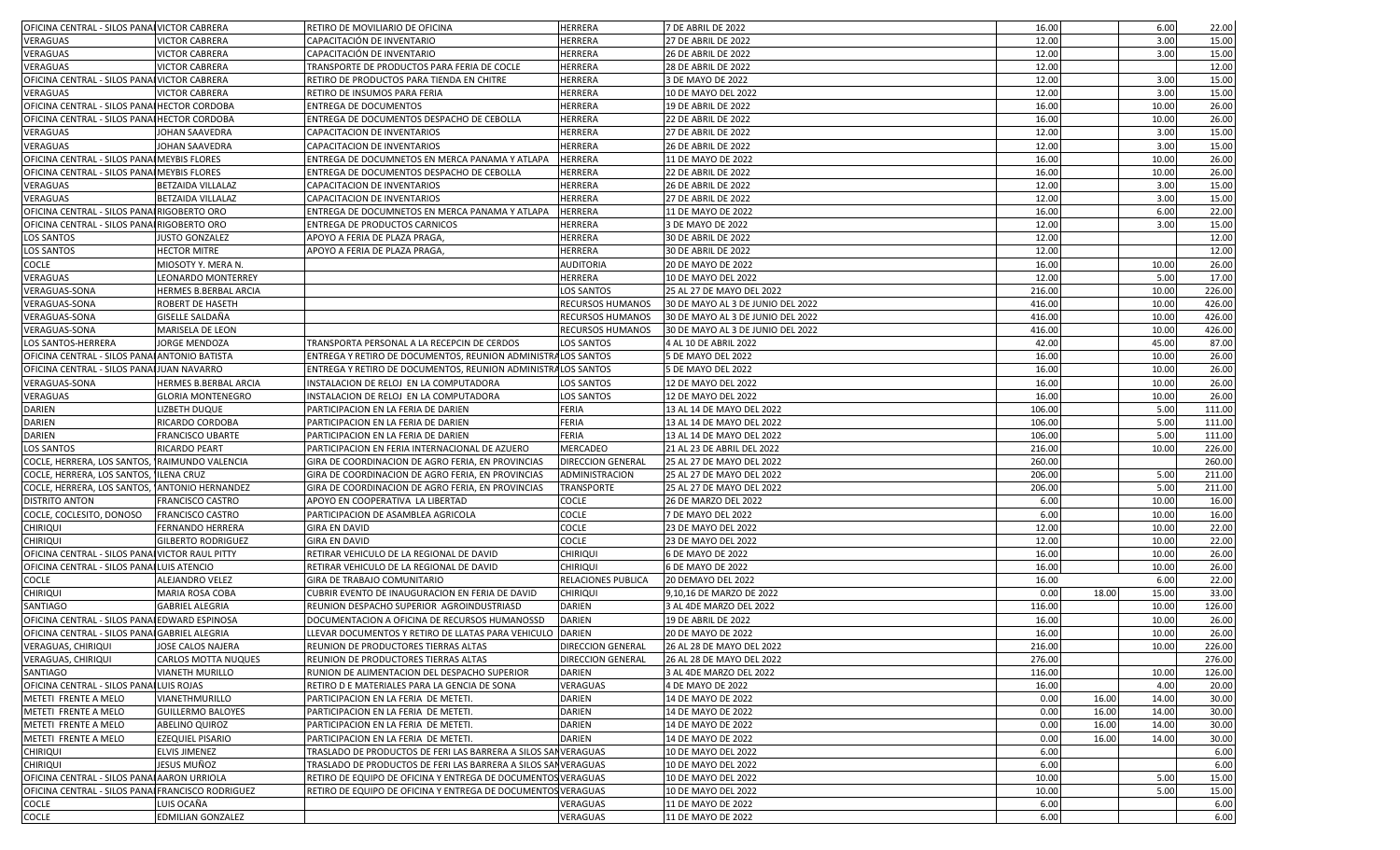| OFICINA CENTRAL - SILOS PANAI VICTOR CABRERA      |                                             | RETIRO DE MOVILIARIO DE OFICINA                               | <b>HERRERA</b>                      | 7 DE ABRIL DE 2022                               | 16.00           |       | 6.00          | 22.00           |
|---------------------------------------------------|---------------------------------------------|---------------------------------------------------------------|-------------------------------------|--------------------------------------------------|-----------------|-------|---------------|-----------------|
| VERAGUAS                                          | <b>VICTOR CABRERA</b>                       | CAPACITACIÓN DE INVENTARIO                                    | <b>HERRERA</b>                      | <b>27 DE ABRIL DE 2022</b>                       | 12.00           |       | 3.00          | 15.00           |
| VERAGUAS                                          | <b>VICTOR CABRERA</b>                       | CAPACITACIÓN DE INVENTARIO                                    | <b>HERRERA</b>                      | 26 DE ABRIL DE 2022                              | 12.00           |       | 3.00          | 15.00           |
| VERAGUAS                                          | <b>VICTOR CABRERA</b>                       | TRANSPORTE DE PRODUCTOS PARA FERIA DE COCLE                   | <b>HERRERA</b>                      | 28 DE ABRIL DE 2022                              | 12.00           |       |               | 12.00           |
| OFICINA CENTRAL - SILOS PANAI VICTOR CABRERA      |                                             | RETIRO DE PRODUCTOS PARA TIENDA EN CHITRE                     | <b>HERRERA</b>                      | 3 DE MAYO DE 2022                                | 12.00           |       | 3.00          | 15.00           |
| VERAGUAS                                          | <b>VICTOR CABRERA</b>                       | RETIRO DE INSUMOS PARA FERIA                                  | <b>HERRERA</b>                      | 10 DE MAYO DEL 2022                              | 12.00           |       | 3.00          | 15.00           |
| OFICINA CENTRAL - SILOS PANAI HECTOR CORDOBA      |                                             | <b>ENTREGA DE DOCUMENTOS</b>                                  | <b>HERRERA</b>                      | 19 DE ABRIL DE 2022                              | 16.00           |       | 10.00         | 26.00           |
| OFICINA CENTRAL - SILOS PANAI HECTOR CORDOBA      |                                             | ENTREGA DE DOCUMENTOS DESPACHO DE CEBOLLA                     | HERRERA                             | <b>22 DE ABRIL DE 2022</b>                       | 16.00           |       | 10.00         | 26.00           |
| VERAGUAS                                          | JOHAN SAAVEDRA                              | CAPACITACION DE INVENTARIOS                                   | <b>HERRERA</b>                      | 27 DE ABRIL DE 2022                              | 12.00           |       | 3.00          | 15.00           |
| VERAGUAS                                          | JOHAN SAAVEDRA                              | CAPACITACION DE INVENTARIOS                                   | <b>HERRERA</b>                      | 26 DE ABRIL DE 2022                              | 12.00           |       | 3.00          | 15.00           |
| OFICINA CENTRAL - SILOS PANAI MEYBIS FLORES       |                                             | ENTREGA DE DOCUMNETOS EN MERCA PANAMA Y ATLAPA                | <b>HERRERA</b>                      | 11 DE MAYO DE 2022                               | 16.00           |       | 10.00         | 26.00           |
| OFICINA CENTRAL - SILOS PANAI MEYBIS FLORES       |                                             | ENTREGA DE DOCUMENTOS DESPACHO DE CEBOLLA                     | <b>HERRERA</b>                      | <b>22 DE ABRIL DE 2022</b>                       | 16.00           |       | 10.00         | 26.00           |
| VERAGUAS                                          | BETZAIDA VILLALAZ                           | CAPACITACION DE INVENTARIOS                                   | <b>HERRERA</b>                      | <b>26 DE ABRIL DE 2022</b>                       | 12.00           |       | 3.00          | 15.00           |
| VERAGUAS                                          | <b>BETZAIDA VILLALAZ</b>                    | CAPACITACION DE INVENTARIOS                                   | <b>HERRERA</b>                      | 27 DE ABRIL DE 2022                              | 12.00           |       | 3.00          | 15.00           |
| OFICINA CENTRAL - SILOS PANAI RIGOBERTO ORO       |                                             | ENTREGA DE DOCUMNETOS EN MERCA PANAMA Y ATLAPA                | <b>HERRERA</b>                      | 11 DE MAYO DE 2022                               | 16.00           |       | 6.00          | 22.00           |
| OFICINA CENTRAL - SILOS PANAI RIGOBERTO ORO       |                                             | ENTREGA DE PRODUCTOS CARNICOS                                 | <b>HERRERA</b>                      | 3 DE MAYO DE 2022                                | 12.00           |       | 3.00          | 15.00           |
| <b>LOS SANTOS</b>                                 | <b>JUSTO GONZALEZ</b>                       | APOYO A FERIA DE PLAZA PRAGA,                                 | <b>HERRERA</b>                      | 30 DE ABRIL DE 2022                              | 12.00           |       |               | 12.00           |
| <b>LOS SANTOS</b>                                 | <b>HECTOR MITRE</b>                         | APOYO A FERIA DE PLAZA PRAGA,                                 | <b>HERRERA</b>                      | 30 DE ABRIL DE 2022                              | 12.00           |       |               | 12.00           |
| COCLE                                             | MIOSOTY Y. MERA N.                          |                                                               | <b>AUDITORIA</b>                    | 20 DE MAYO DE 2022                               | 16.00           |       | 10.00         | 26.00           |
|                                                   |                                             |                                                               |                                     |                                                  |                 |       |               |                 |
| VERAGUAS<br>VERAGUAS-SONA                         | LEONARDO MONTERREY<br>HERMES B.BERBAL ARCIA |                                                               | <b>HERRERA</b><br><b>LOS SANTOS</b> | 10 DE MAYO DEL 2022<br>25 AL 27 DE MAYO DEL 2022 | 12.00<br>216.00 |       | 5.00<br>10.00 | 17.00<br>226.00 |
| VERAGUAS-SONA                                     | ROBERT DE HASETH                            |                                                               | <b>RECURSOS HUMANOS</b>             | 30 DE MAYO AL 3 DE JUNIO DEL 2022                | 416.00          |       | 10.00         | 426.00          |
| VERAGUAS-SONA                                     |                                             |                                                               | <b>RECURSOS HUMANOS</b>             | 30 DE MAYO AL 3 DE JUNIO DEL 2022                | 416.00          |       | 10.00         | 426.00          |
|                                                   | GISELLE SALDAÑA                             |                                                               |                                     |                                                  |                 |       |               |                 |
| <b>VERAGUAS-SONA</b>                              | MARISELA DE LEON                            |                                                               | <b>RECURSOS HUMANOS</b>             | 30 DE MAYO AL 3 DE JUNIO DEL 2022                | 416.00          |       | 10.00         | 426.00          |
| LOS SANTOS-HERRERA                                | JORGE MENDOZA                               | TRANSPORTA PERSONAL A LA RECEPCIN DE CERDOS                   | <b>LOS SANTOS</b>                   | 4 AL 10 DE ABRIL 2022                            | 42.00           |       | 45.00         | 87.00           |
| OFICINA CENTRAL - SILOS PANALANTONIO BATISTA      |                                             | ENTREGA Y RETIRO DE DOCUMENTOS, REUNION ADMINISTRALOS SANTOS  |                                     | 5 DE MAYO DEL 2022                               | 16.00           |       | 10.00         | 26.00           |
| OFICINA CENTRAL - SILOS PANAIJUAN NAVARRO         |                                             | ENTREGA Y RETIRO DE DOCUMENTOS, REUNION ADMINISTRALOS SANTOS  |                                     | 5 DE MAYO DEL 2022                               | 16.00           |       | 10.00         | 26.00           |
| VERAGUAS-SONA                                     | HERMES B.BERBAL ARCIA                       | INSTALACION DE RELOJ EN LA COMPUTADORA                        | <b>LOS SANTOS</b>                   | 12 DE MAYO DEL 2022                              | 16.00           |       | 10.00         | 26.00           |
| VERAGUAS                                          | <b>GLORIA MONTENEGRO</b>                    | INSTALACION DE RELOJ EN LA COMPUTADORA                        | <b>LOS SANTOS</b>                   | 12 DE MAYO DEL 2022                              | 16.00           |       | 10.00         | 26.00           |
| DARIEN                                            | LIZBETH DUQUE                               | PARTICIPACION EN LA FERIA DE DARIEN                           | <b>FERIA</b>                        | 13 AL 14 DE MAYO DEL 2022                        | 106.00          |       | 5.00          | 111.00          |
| DARIEN                                            | RICARDO CORDOBA                             | PARTICIPACION EN LA FERIA DE DARIEN                           | <b>FERIA</b>                        | 13 AL 14 DE MAYO DEL 2022                        | 106.00          |       | 5.00          | 111.00          |
| DARIEN                                            | FRANCISCO UBARTE                            | PARTICIPACION EN LA FERIA DE DARIEN                           | <b>FERIA</b>                        | 13 AL 14 DE MAYO DEL 2022                        | 106.00          |       | 5.00          | 111.00          |
| <b>LOS SANTOS</b>                                 | RICARDO PEART                               | PARTICIPACION EN FERIA INTERNACIONAL DE AZUERO                | <b>MERCADEO</b>                     | 21 AL 23 DE ABRIL DEL 2022                       | 216.00          |       | 10.00         | 226.00          |
| COCLE, HERRERA, LOS SANTOS, RAIMUNDO VALENCIA     |                                             | GIRA DE COORDINACION DE AGRO FERIA, EN PROVINCIAS             | <b>DIRECCION GENERAL</b>            | 25 AL 27 DE MAYO DEL 2022                        | 260.00          |       |               | 260.00          |
| COCLE, HERRERA, LOS SANTOS,                       | <b>ILENA CRUZ</b>                           | GIRA DE COORDINACION DE AGRO FERIA, EN PROVINCIAS             | ADMINISTRACION                      | 25 AL 27 DE MAYO DEL 2022                        | 206.00          |       | 5.00          | 211.00          |
| COCLE, HERRERA, LOS SANTOS,                       | <b>ANTONIO HERNANDEZ</b>                    | GIRA DE COORDINACION DE AGRO FERIA, EN PROVINCIAS             | <b>TRANSPORTE</b>                   | 25 AL 27 DE MAYO DEL 2022                        | 206.00          |       | 5.00          | 211.00          |
| <b>DISTRITO ANTON</b>                             | <b>FRANCISCO CASTRO</b>                     | APOYO EN COOPERATIVA LA LIBERTAD                              | <b>COCLE</b>                        | 26 DE MARZO DEL 2022                             | 6.00            |       | 10.00         | 16.00           |
| COCLE, COCLESITO, DONOSO                          | <b>FRANCISCO CASTRO</b>                     | PARTICIPACION DE ASAMBLEA AGRICOLA                            | <b>COCLE</b>                        | 7 DE MAYO DEL 2022                               | 6.00            |       | 10.00         | 16.00           |
| Chiriqui                                          | FERNANDO HERRERA                            | <b>GIRA EN DAVID</b>                                          | <b>COCLE</b>                        | 23 DE MAYO DEL 2022                              | 12.00           |       | 10.00         | 22.00           |
| <b>CHIRIQUI</b>                                   | <b>GILBERTO RODRIGUEZ</b>                   | <b>GIRA EN DAVID</b>                                          | <b>COCLE</b>                        | 23 DE MAYO DEL 2022                              | 12.00           |       | 10.00         | 22.00           |
| OFICINA CENTRAL - SILOS PANAI VICTOR RAUL PITTY   |                                             | RETIRAR VEHICULO DE LA REGIONAL DE DAVID                      | <b>CHIRIQUI</b>                     | 6 DE MAYO DE 2022                                | 16.00           |       | 10.00         | 26.00           |
| OFICINA CENTRAL - SILOS PANAI LUIS ATENCIO        |                                             | RETIRAR VEHICULO DE LA REGIONAL DE DAVID                      | <b>CHIRIQUI</b>                     | 6 DE MAYO DE 2022                                | 16.00           |       | 10.00         | 26.00           |
| COCLE                                             | ALEJANDRO VELEZ                             | GIRA DE TRABAJO COMUNITARIO                                   | <b>RELACIONES PUBLICA</b>           | 20 DEMAYO DEL 2022                               | 16.00           |       | 6.00          | 22.00           |
| Chiriqui                                          | MARIA ROSA COBA                             | CUBRIR EVENTO DE INAUGURACION EN FERIA DE DAVID               | <b>CHIRIQUI</b>                     | 9,10,16 DE MARZO DE 2022                         | 0.00            | 18.00 | 15.00         | 33.00           |
| SANTIAGO                                          | <b>GABRIEL ALEGRIA</b>                      | REUNION DESPACHO SUPERIOR AGROINDUSTRIASD                     | <b>DARIEN</b>                       | 3 AL 4DE MARZO DEL 2022                          | 116.00          |       | 10.00         | 126.00          |
| OFICINA CENTRAL - SILOS PANAI EDWARD ESPINOSA     |                                             | DOCUMENTACION A OFICINA DE RECURSOS HUMANOSSD                 | <b>DARIEN</b>                       | 19 DE ABRIL DE 2022                              | 16.00           |       | 10.00         | 26.00           |
| OFICINA CENTRAL - SILOS PANAI GABRIEL ALEGRIA     |                                             | LLEVAR DOCUMENTOS Y RETIRO DE LLATAS PARA VEHICULO DARIEN     |                                     | 20 DE MAYO DE 2022                               | 16.00           |       | 10.00         | 26.00           |
| <b>VERAGUAS, CHIRIQUI</b>                         | JOSE CALOS NAJERA                           | REUNION DE PRODUCTORES TIERRAS ALTAS                          | <b>DIRECCION GENERAL</b>            | 26 AL 28 DE MAYO DEL 2022                        | 216.00          |       | 10.00         | 226.00          |
| <b>VERAGUAS, CHIRIQUI</b>                         | CARLOS MOTTA NUQUES                         | REUNION DE PRODUCTORES TIERRAS ALTAS                          | <b>DIRECCION GENERAL</b>            | 26 AL 28 DE MAYO DEL 2022                        | 276.00          |       |               | 276.00          |
| SANTIAGO                                          | <b>VIANETH MURILLO</b>                      | RUNION DE ALIMENTACION DEL DESPACHO SUPERIOR                  | <b>DARIEN</b>                       | 3 AL 4DE MARZO DEL 2022                          | 116.00          |       | 10.00         | 126.00          |
| OFICINA CENTRAL - SILOS PANAI LUIS ROJAS          |                                             | RETIRO D E MATERIALES PARA LA GENCIA DE SONA                  | VERAGUAS                            | 4 DE MAYO DE 2022                                | 16.00           |       | 4.00          | 20.00           |
| METETI FRENTE A MELO                              | VIANETHMURILLO                              | PARTICIPACION EN LA FERIA DE METETI.                          | <b>DARIEN</b>                       | 14 DE MAYO DE 2022                               | 0.00            | 16.00 | 14.00         | 30.00           |
| METETI FRENTE A MELO                              | <b>GUILLERMO BALOYES</b>                    | PARTICIPACION EN LA FERIA DE METETI.                          | <b>DARIEN</b>                       | 14 DE MAYO DE 2022                               | 0.00            | 16.00 | 14.00         | 30.00           |
| METETI FRENTE A MELO                              | <b>ABELINO QUIROZ</b>                       | PARTICIPACION EN LA FERIA DE METETI.                          | <b>DARIEN</b>                       | 14 DE MAYO DE 2022                               | 0.00            | 16.00 | 14.00         | 30.00           |
| METETI FRENTE A MELO                              | <b>EZEQUIEL PISARIO</b>                     | PARTICIPACION EN LA FERIA DE METETI.                          | <b>DARIEN</b>                       | 14 DE MAYO DE 2022                               | 0.00            | 16.00 | 14.00         | 30.00           |
| <b>CHIRIQUI</b>                                   | <b>ELVIS JIMENEZ</b>                        | TRASLADO DE PRODUCTOS DE FERI LAS BARRERA A SILOS SANVERAGUAS |                                     | 10 DE MAYO DEL 2022                              | 6.00            |       |               | 6.00            |
| <b>CHIRIQUI</b>                                   | JESUS MUÑOZ                                 | TRASLADO DE PRODUCTOS DE FERI LAS BARRERA A SILOS SANVERAGUAS |                                     | 10 DE MAYO DEL 2022                              | 6.00            |       |               | 6.00            |
| OFICINA CENTRAL - SILOS PANAI AARON URRIOLA       |                                             | RETIRO DE EQUIPO DE OFICINA Y ENTREGA DE DOCUMENTOS VERAGUAS  |                                     | 10 DE MAYO DEL 2022                              | 10.00           |       | 5.00          | 15.00           |
| OFICINA CENTRAL - SILOS PANAI FRANCISCO RODRIGUEZ |                                             | RETIRO DE EQUIPO DE OFICINA Y ENTREGA DE DOCUMENTOS VERAGUAS  |                                     | 10 DE MAYO DEL 2022                              | 10.00           |       | 5.00          | 15.00           |
| COCLE                                             | LUIS OCAÑA                                  |                                                               | VERAGUAS                            | 11 DE MAYO DE 2022                               | 6.00            |       |               | 6.00            |
| COCLE                                             | <b>EDMILIAN GONZALEZ</b>                    |                                                               | VERAGUAS                            | 11 DE MAYO DE 2022                               | 6.00            |       |               | 6.00            |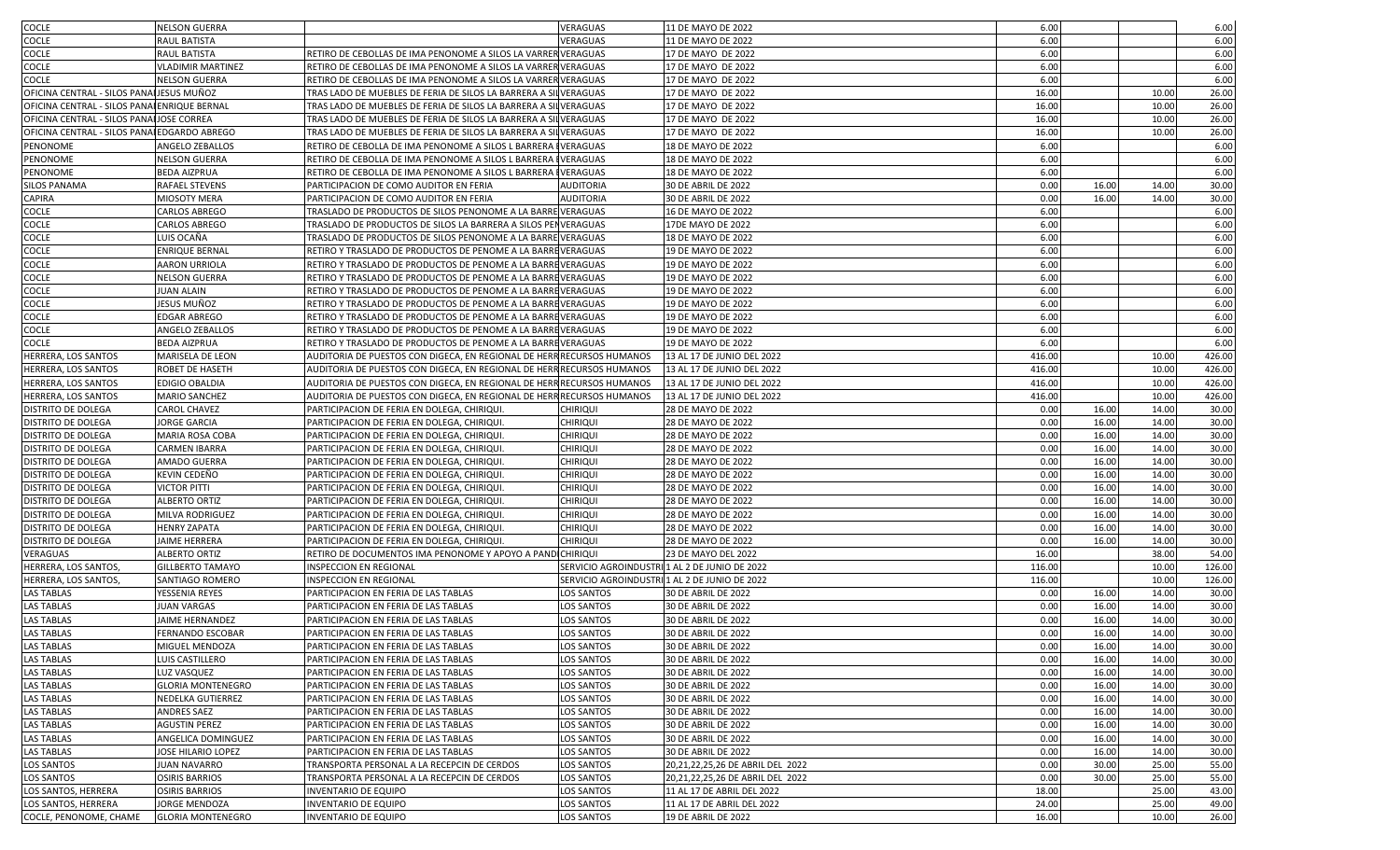| COCLE                                        | <b>NELSON GUERRA</b>     |                                                                       | VERAGUAS                                      | 11 DE MAYO DE 2022               | 6.00   |       |       | 6.00   |
|----------------------------------------------|--------------------------|-----------------------------------------------------------------------|-----------------------------------------------|----------------------------------|--------|-------|-------|--------|
| COCLE                                        | RAUL BATISTA             |                                                                       | VERAGUAS                                      | 11 DE MAYO DE 2022               | 6.00   |       |       | 6.00   |
| COCLE                                        | RAUL BATISTA             | RETIRO DE CEBOLLAS DE IMA PENONOME A SILOS LA VARRER VERAGUAS         |                                               | 17 DE MAYO DE 2022               | 6.00   |       |       | 6.00   |
| COCLE                                        | <b>VLADIMIR MARTINEZ</b> | RETIRO DE CEBOLLAS DE IMA PENONOME A SILOS LA VARRER VERAGUAS         |                                               | 17 DE MAYO DE 2022               | 6.00   |       |       | 6.00   |
| <b>COCLE</b>                                 | <b>NELSON GUERRA</b>     | RETIRO DE CEBOLLAS DE IMA PENONOME A SILOS LA VARRER VERAGUAS         |                                               | 17 DE MAYO DE 2022               | 6.00   |       |       | 6.00   |
| OFICINA CENTRAL - SILOS PANALJESUS MUÑOZ     |                          | TRAS LADO DE MUEBLES DE FERIA DE SILOS LA BARRERA A SILVERAGUAS       |                                               | 17 DE MAYO DE 2022               | 16.00  |       | 10.00 | 26.00  |
| OFICINA CENTRAL - SILOS PANAI ENRIQUE BERNAL |                          | TRAS LADO DE MUEBLES DE FERIA DE SILOS LA BARRERA A SILVERAGUAS       |                                               | 17 DE MAYO DE 2022               | 16.00  |       | 10.00 | 26.00  |
| OFICINA CENTRAL - SILOS PANAI JOSE CORREA    |                          | TRAS LADO DE MUEBLES DE FERIA DE SILOS LA BARRERA A SILVERAGUAS       |                                               | 17 DE MAYO DE 2022               | 16.00  |       | 10.00 | 26.00  |
| OFICINA CENTRAL - SILOS PANAI EDGARDO ABREGO |                          | TRAS LADO DE MUEBLES DE FERIA DE SILOS LA BARRERA A SILVERAGUAS       |                                               | 17 DE MAYO DE 2022               | 16.00  |       | 10.00 | 26.00  |
| PENONOME                                     | ANGELO ZEBALLOS          | RETIRO DE CEBOLLA DE IMA PENONOME A SILOS L BARRERA                   | <b>IVERAGUAS</b>                              | 18 DE MAYO DE 2022               | 6.00   |       |       | 6.00   |
| PENONOME                                     | <b>NELSON GUERRA</b>     | RETIRO DE CEBOLLA DE IMA PENONOME A SILOS L BARRERA                   | <b>IVERAGUAS</b>                              | 18 DE MAYO DE 2022               | 6.00   |       |       | 6.00   |
| PENONOME                                     | <b>BEDA AIZPRUA</b>      | RETIRO DE CEBOLLA DE IMA PENONOME A SILOS L BARRERA                   | <b>IVERAGUAS</b>                              | 18 DE MAYO DE 2022               | 6.00   |       |       | 6.00   |
| <b>SILOS PANAMA</b>                          | RAFAEL STEVENS           | PARTICIPACION DE COMO AUDITOR EN FERIA                                | <b>AUDITORIA</b>                              | 30 DE ABRIL DE 2022              | 0.00   | 16.00 | 14.00 | 30.00  |
| CAPIRA                                       | MIOSOTY MERA             | PARTICIPACION DE COMO AUDITOR EN FERIA                                | <b>AUDITORIA</b>                              | 30 DE ABRIL DE 2022              | 0.00   | 16.00 | 14.00 | 30.00  |
| COCLE                                        | CARLOS ABREGO            | TRASLADO DE PRODUCTOS DE SILOS PENONOME A LA BARRE VERAGUAS           |                                               | 16 DE MAYO DE 2022               | 6.00   |       |       | 6.00   |
| COCLE                                        | CARLOS ABREGO            | TRASLADO DE PRODUCTOS DE SILOS LA BARRERA A SILOS PENVERAGUAS         |                                               | 17DE MAYO DE 2022                | 6.00   |       |       | 6.00   |
| COCLE                                        | LUIS OCAÑA               | TRASLADO DE PRODUCTOS DE SILOS PENONOME A LA BARRE VERAGUAS           |                                               | 18 DE MAYO DE 2022               | 6.00   |       |       | 6.00   |
| COCLE                                        | <b>ENRIQUE BERNAL</b>    | RETIRO Y TRASLADO DE PRODUCTOS DE PENOME A LA BARREVERAGUAS           |                                               | 19 DE MAYO DE 2022               | 6.00   |       |       | 6.00   |
| COCLE                                        | AARON URRIOLA            | RETIRO Y TRASLADO DE PRODUCTOS DE PENOME A LA BARREVERAGUAS           |                                               | 19 DE MAYO DE 2022               | 6.00   |       |       | 6.00   |
| <b>COCLE</b>                                 | <b>NELSON GUERRA</b>     | RETIRO Y TRASLADO DE PRODUCTOS DE PENOME A LA BARREVERAGUAS           |                                               | 19 DE MAYO DE 2022               | 6.00   |       |       | 6.00   |
| COCLE                                        | <b>JUAN ALAIN</b>        | RETIRO Y TRASLADO DE PRODUCTOS DE PENOME A LA BARREVERAGUAS           |                                               | 19 DE MAYO DE 2022               | 6.00   |       |       | 6.00   |
| COCLE                                        | JESUS MUÑOZ              | RETIRO Y TRASLADO DE PRODUCTOS DE PENOME A LA BARREVERAGUAS           |                                               | 19 DE MAYO DE 2022               | 6.00   |       |       | 6.00   |
| COCLE                                        | <b>EDGAR ABREGO</b>      | RETIRO Y TRASLADO DE PRODUCTOS DE PENOME A LA BARREVERAGUAS           |                                               | 19 DE MAYO DE 2022               | 6.00   |       |       | 6.00   |
| COCLE                                        | ANGELO ZEBALLOS          | RETIRO Y TRASLADO DE PRODUCTOS DE PENOME A LA BARREVERAGUAS           |                                               | 19 DE MAYO DE 2022               | 6.00   |       |       | 6.00   |
| COCLE                                        | <b>BEDA AIZPRUA</b>      | RETIRO Y TRASLADO DE PRODUCTOS DE PENOME A LA BARREVERAGUAS           |                                               | 19 DE MAYO DE 2022               | 6.00   |       |       | 6.00   |
| HERRERA, LOS SANTOS                          | MARISELA DE LEON         | AUDITORIA DE PUESTOS CON DIGECA, EN REGIONAL DE HERR RECURSOS HUMANOS |                                               | 13 AL 17 DE JUNIO DEL 2022       | 416.00 |       | 10.00 | 426.00 |
| HERRERA, LOS SANTOS                          | ROBET DE HASETH          | AUDITORIA DE PUESTOS CON DIGECA, EN REGIONAL DE HERR RECURSOS HUMANOS |                                               | 13 AL 17 DE JUNIO DEL 2022       | 416.00 |       | 10.00 | 426.00 |
| HERRERA, LOS SANTOS                          | <b>EDIGIO OBALDIA</b>    | AUDITORIA DE PUESTOS CON DIGECA, EN REGIONAL DE HERR RECURSOS HUMANOS |                                               | 13 AL 17 DE JUNIO DEL 2022       | 416.00 |       | 10.00 | 426.00 |
| HERRERA, LOS SANTOS                          | <b>MARIO SANCHEZ</b>     | AUDITORIA DE PUESTOS CON DIGECA, EN REGIONAL DE HERR RECURSOS HUMANOS |                                               | 13 AL 17 DE JUNIO DEL 2022       | 416.00 |       | 10.00 | 426.00 |
| DISTRITO DE DOLEGA                           | <b>CAROL CHAVEZ</b>      | PARTICIPACION DE FERIA EN DOLEGA, CHIRIQUI                            | CHIRIQUI                                      | 28 DE MAYO DE 2022               | 0.00   | 16.00 | 14.00 | 30.00  |
| DISTRITO DE DOLEGA                           | <b>JORGE GARCIA</b>      | PARTICIPACION DE FERIA EN DOLEGA, CHIRIQUI.                           | <b>CHIRIQUI</b>                               | 28 DE MAYO DE 2022               | 0.00   | 16.00 | 14.00 | 30.00  |
| DISTRITO DE DOLEGA                           | MARIA ROSA COBA          | PARTICIPACION DE FERIA EN DOLEGA, CHIRIQUI.                           | <b>CHIRIQUI</b>                               | 28 DE MAYO DE 2022               | 0.00   | 16.00 | 14.00 | 30.00  |
| DISTRITO DE DOLEGA                           | <b>CARMEN IBARRA</b>     | PARTICIPACION DE FERIA EN DOLEGA, CHIRIQUI                            | <b>CHIRIQUI</b>                               | 28 DE MAYO DE 2022               | 0.00   | 16.00 | 14.00 | 30.00  |
| DISTRITO DE DOLEGA                           | AMADO GUERRA             | PARTICIPACION DE FERIA EN DOLEGA, CHIRIQUI.                           | <b>CHIRIQUI</b>                               | 28 DE MAYO DE 2022               | 0.00   | 16.00 | 14.00 | 30.00  |
| DISTRITO DE DOLEGA                           | KEVIN CEDEÑO             | PARTICIPACION DE FERIA EN DOLEGA, CHIRIQUI                            | CHIRIQUI                                      | 28 DE MAYO DE 2022               | 0.00   | 16.00 | 14.00 | 30.00  |
| DISTRITO DE DOLEGA                           | <b>VICTOR PITTI</b>      | PARTICIPACION DE FERIA EN DOLEGA, CHIRIQUI.                           | CHIRIQUI                                      | 28 DE MAYO DE 2022               | 0.00   | 16.00 | 14.00 | 30.00  |
| DISTRITO DE DOLEGA                           | <b>ALBERTO ORTIZ</b>     | PARTICIPACION DE FERIA EN DOLEGA, CHIRIQUI.                           | <b>CHIRIQUI</b>                               | 28 DE MAYO DE 2022               | 0.00   | 16.00 | 14.00 | 30.00  |
| DISTRITO DE DOLEGA                           | MILVA RODRIGUEZ          | PARTICIPACION DE FERIA EN DOLEGA, CHIRIQUI.                           | <b>CHIRIQUI</b>                               | 28 DE MAYO DE 2022               | 0.00   | 16.00 | 14.00 | 30.00  |
| DISTRITO DE DOLEGA                           | <b>HENRY ZAPATA</b>      | PARTICIPACION DE FERIA EN DOLEGA, CHIRIQUI.                           | <b>CHIRIQUI</b>                               | 28 DE MAYO DE 2022               | 0.00   | 16.00 | 14.00 | 30.00  |
| DISTRITO DE DOLEGA                           | <b>JAIME HERRERA</b>     | PARTICIPACION DE FERIA EN DOLEGA, CHIRIQUI.                           | <b>CHIRIQUI</b>                               | 28 DE MAYO DE 2022               | 0.00   | 16.00 | 14.00 | 30.00  |
| VERAGUAS                                     | ALBERTO ORTIZ            | RETIRO DE DOCUMENTOS IMA PENONOME Y APOYO A PANDICHIRIQUI             |                                               | 23 DE MAYO DEL 2022              | 16.00  |       | 38.00 | 54.00  |
| HERRERA, LOS SANTOS,                         | <b>GILLBERTO TAMAYO</b>  | INSPECCION EN REGIONAL                                                | SERVICIO AGROINDUSTRI 1 AL 2 DE JUNIO DE 2022 |                                  | 116.00 |       | 10.00 | 126.00 |
| HERRERA, LOS SANTOS,                         | SANTIAGO ROMERO          | INSPECCION EN REGIONAL                                                | SERVICIO AGROINDUSTRI 1 AL 2 DE JUNIO DE 2022 |                                  | 116.00 |       | 10.00 | 126.00 |
| LAS TABLAS                                   | YESSENIA REYES           | PARTICIPACION EN FERIA DE LAS TABLAS                                  | LOS SANTOS                                    | 30 DE ABRIL DE 2022              | 0.00   | 16.00 | 14.00 | 30.00  |
| <b>LAS TABLAS</b>                            | <b>JUAN VARGAS</b>       | PARTICIPACION EN FERIA DE LAS TABLAS                                  | LOS SANTOS                                    | 30 DE ABRIL DE 2022              | 0.00   | 16.00 | 14.00 | 30.00  |
| <b>LAS TABLAS</b>                            | JAIME HERNANDEZ          | PARTICIPACION EN FERIA DE LAS TABLAS                                  | LOS SANTOS                                    | 30 DE ABRIL DE 2022              | 0.00   | 16.00 | 14.00 | 30.00  |
| <b>LAS TABLAS</b>                            | <b>FERNANDO ESCOBAR</b>  | PARTICIPACION EN FERIA DE LAS TABLAS                                  | <b>LOS SANTOS</b>                             | 30 DE ABRIL DE 2022              | 0.00   | 16.00 | 14.00 | 30.00  |
| LAS TABLAS                                   | MIGUEL MENDOZA           | PARTICIPACION EN FERIA DE LAS TABLAS                                  | LOS SANTOS                                    | 30 DE ABRIL DE 2022              | 0.00   | 16.00 | 14.00 | 30.00  |
| <b>LAS TABLAS</b>                            | LUIS CASTILLERO          | PARTICIPACION EN FERIA DE LAS TABLAS                                  | LOS SANTOS                                    | 30 DE ABRIL DE 2022              | 0.00   | 16.00 | 14.00 | 30.00  |
| <b>LAS TABLAS</b>                            | LUZ VASQUEZ              | PARTICIPACION EN FERIA DE LAS TABLAS                                  | LOS SANTOS                                    | 30 DE ABRIL DE 2022              | 0.00   | 16.00 | 14.00 | 30.00  |
| <b>LAS TABLAS</b>                            | <b>GLORIA MONTENEGRO</b> | PARTICIPACION EN FERIA DE LAS TABLAS                                  | LOS SANTOS                                    | 30 DE ABRIL DE 2022              | 0.00   | 16.00 | 14.00 | 30.00  |
| <b>LAS TABLAS</b>                            | <b>NEDELKA GUTIERREZ</b> | PARTICIPACION EN FERIA DE LAS TABLAS                                  | <b>LOS SANTOS</b>                             | 30 DE ABRIL DE 2022              | 0.00   | 16.00 | 14.00 | 30.00  |
| <b>LAS TABLAS</b>                            | <b>ANDRES SAEZ</b>       | PARTICIPACION EN FERIA DE LAS TABLAS                                  | LOS SANTOS                                    | 30 DE ABRIL DE 2022              | 0.00   | 16.00 | 14.00 | 30.00  |
| <b>LAS TABLAS</b>                            | <b>AGUSTIN PEREZ</b>     | PARTICIPACION EN FERIA DE LAS TABLAS                                  | LOS SANTOS                                    | 30 DE ABRIL DE 2022              | 0.00   | 16.00 | 14.00 | 30.00  |
| LAS TABLAS                                   | ANGELICA DOMINGUEZ       | PARTICIPACION EN FERIA DE LAS TABLAS                                  | LOS SANTOS                                    | 30 DE ABRIL DE 2022              | 0.00   | 16.00 | 14.00 | 30.00  |
| <b>LAS TABLAS</b>                            | JOSE HILARIO LOPEZ       | PARTICIPACION EN FERIA DE LAS TABLAS                                  | LOS SANTOS                                    | 30 DE ABRIL DE 2022              | 0.00   | 16.00 | 14.00 | 30.00  |
| LOS SANTOS                                   | <b>JUAN NAVARRO</b>      | TRANSPORTA PERSONAL A LA RECEPCIN DE CERDOS                           | LOS SANTOS                                    | 20,21,22,25,26 DE ABRIL DEL 2022 | 0.00   | 30.00 | 25.00 | 55.00  |
| <b>LOS SANTOS</b>                            | <b>OSIRIS BARRIOS</b>    | TRANSPORTA PERSONAL A LA RECEPCIN DE CERDOS                           | LOS SANTOS                                    | 20,21,22,25,26 DE ABRIL DEL 2022 | 0.00   | 30.00 | 25.00 | 55.00  |
| LOS SANTOS, HERRERA                          | <b>OSIRIS BARRIOS</b>    | INVENTARIO DE EQUIPO                                                  | LOS SANTOS                                    | 11 AL 17 DE ABRIL DEL 2022       | 18.00  |       | 25.00 | 43.00  |
| LOS SANTOS, HERRERA                          | <b>JORGE MENDOZA</b>     | INVENTARIO DE EQUIPO                                                  | <b>LOS SANTOS</b>                             | 11 AL 17 DE ABRIL DEL 2022       | 24.00  |       | 25.00 | 49.00  |
| COCLE, PENONOME, CHAME                       | <b>GLORIA MONTENEGRO</b> | INVENTARIO DE EQUIPO                                                  | LOS SANTOS                                    | 19 DE ABRIL DE 2022              | 16.00  |       | 10.00 | 26.00  |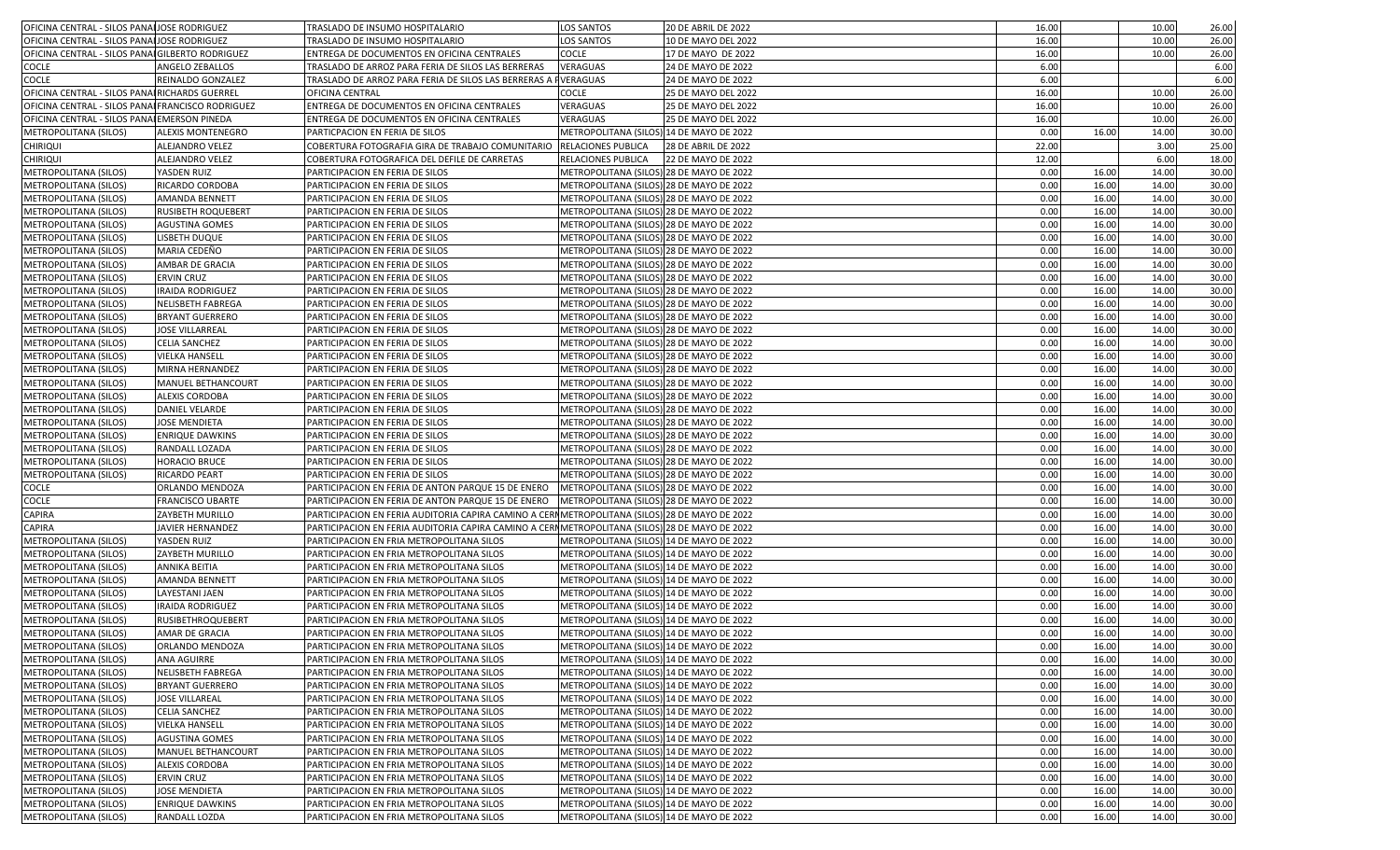| OFICINA CENTRAL - SILOS PANAIJOSE RODRIGUEZ       |                           | TRASLADO DE INSUMO HOSPITALARIO                                                               | <b>LOS SANTOS</b>                                                                    | <b>20 DE ABRIL DE 2022</b> | 16.00 |       | 10.00 | 26.00 |
|---------------------------------------------------|---------------------------|-----------------------------------------------------------------------------------------------|--------------------------------------------------------------------------------------|----------------------------|-------|-------|-------|-------|
| OFICINA CENTRAL - SILOS PANALJOSE RODRIGUEZ       |                           | TRASLADO DE INSUMO HOSPITALARIO                                                               | <b>LOS SANTOS</b>                                                                    | 10 DE MAYO DEL 2022        | 16.00 |       | 10.00 | 26.00 |
| OFICINA CENTRAL - SILOS PANAI GILBERTO RODRIGUEZ  |                           | ENTREGA DE DOCUMENTOS EN OFICINA CENTRALES                                                    | <b>COCLE</b>                                                                         | 17 DE MAYO DE 2022         | 16.00 |       | 10.00 | 26.00 |
| COCLE                                             | ANGELO ZEBALLOS           | TRASLADO DE ARROZ PARA FERIA DE SILOS LAS BERRERAS                                            | VERAGUAS                                                                             | 24 DE MAYO DE 2022         | 6.00  |       |       | 6.00  |
| COCLE                                             | REINALDO GONZALEZ         | TRASLADO DE ARROZ PARA FERIA DE SILOS LAS BERRERAS A FVERAGUAS                                |                                                                                      | 24 DE MAYO DE 2022         | 6.00  |       |       | 6.00  |
| OFICINA CENTRAL - SILOS PANAI RICHARDS GUERREL    |                           | OFICINA CENTRAL                                                                               | COCLE                                                                                | 25 DE MAYO DEL 2022        | 16.00 |       | 10.00 | 26.00 |
| OFICINA CENTRAL - SILOS PANAI FRANCISCO RODRIGUEZ |                           | ENTREGA DE DOCUMENTOS EN OFICINA CENTRALES                                                    | VERAGUAS                                                                             | 25 DE MAYO DEL 2022        | 16.00 |       | 10.00 | 26.00 |
| OFICINA CENTRAL - SILOS PANAI EMERSON PINEDA      |                           | ENTREGA DE DOCUMENTOS EN OFICINA CENTRALES                                                    | VERAGUAS                                                                             | <b>25 DE MAYO DEL 2022</b> | 16.00 |       | 10.00 | 26.00 |
| METROPOLITANA (SILOS)                             | ALEXIS MONTENEGRO         | PARTICPACION EN FERIA DE SILOS                                                                | METROPOLITANA (SILOS) 14 DE MAYO DE 2022                                             |                            | 0.00  | 16.00 | 14.00 | 30.00 |
| <b>CHIRIQUI</b>                                   | ALEJANDRO VELEZ           | COBERTURA FOTOGRAFIA GIRA DE TRABAJO COMUNITARIO                                              | <b>RELACIONES PUBLICA</b>                                                            | 28 DE ABRIL DE 2022        | 22.00 |       | 3.00  | 25.00 |
| <b>CHIRIQUI</b>                                   | ALEJANDRO VELEZ           | COBERTURA FOTOGRAFICA DEL DEFILE DE CARRETAS                                                  | RELACIONES PUBLICA                                                                   | 22 DE MAYO DE 2022         | 12.00 |       | 6.00  | 18.00 |
| METROPOLITANA (SILOS)                             | YASDEN RUIZ               | PARTICIPACION EN FERIA DE SILOS                                                               | METROPOLITANA (SILOS) 28 DE MAYO DE 2022                                             |                            | 0.00  | 16.00 | 14.00 | 30.00 |
| METROPOLITANA (SILOS)                             | RICARDO CORDOBA           | PARTICIPACION EN FERIA DE SILOS                                                               | METROPOLITANA (SILOS) 28 DE MAYO DE 2022                                             |                            | 0.00  | 16.00 | 14.00 | 30.00 |
| METROPOLITANA (SILOS)                             | <b>AMANDA BENNETT</b>     | PARTICIPACION EN FERIA DE SILOS                                                               | METROPOLITANA (SILOS) 28 DE MAYO DE 2022                                             |                            | 0.00  | 16.00 | 14.00 | 30.00 |
| METROPOLITANA (SILOS)                             | <b>RUSIBETH ROQUEBERT</b> | PARTICIPACION EN FERIA DE SILOS                                                               | METROPOLITANA (SILOS) 28 DE MAYO DE 2022                                             |                            | 0.00  | 16.00 | 14.00 | 30.00 |
| METROPOLITANA (SILOS)                             | <b>AGUSTINA GOMES</b>     | PARTICIPACION EN FERIA DE SILOS                                                               | METROPOLITANA (SILOS) 28 DE MAYO DE 2022                                             |                            | 0.00  | 16.00 | 14.00 | 30.00 |
| METROPOLITANA (SILOS)                             | LISBETH DUQUE             | PARTICIPACION EN FERIA DE SILOS                                                               | METROPOLITANA (SILOS) 28 DE MAYO DE 2022                                             |                            | 0.00  | 16.00 | 14.00 | 30.00 |
| METROPOLITANA (SILOS)                             | MARIA CEDEÑO              | PARTICIPACION EN FERIA DE SILOS                                                               | METROPOLITANA (SILOS) 28 DE MAYO DE 2022                                             |                            | 0.00  | 16.00 | 14.00 | 30.00 |
|                                                   |                           |                                                                                               |                                                                                      |                            |       |       |       |       |
| METROPOLITANA (SILOS)                             | AMBAR DE GRACIA           | PARTICIPACION EN FERIA DE SILOS                                                               | METROPOLITANA (SILOS) 28 DE MAYO DE 2022                                             |                            | 0.00  | 16.00 | 14.00 | 30.00 |
| METROPOLITANA (SILOS)                             | <b>ERVIN CRUZ</b>         | PARTICIPACION EN FERIA DE SILOS                                                               | METROPOLITANA (SILOS) 28 DE MAYO DE 2022<br>METROPOLITANA (SILOS) 28 DE MAYO DE 2022 |                            | 0.00  | 16.00 | 14.00 | 30.00 |
| METROPOLITANA (SILOS)                             | <b>IRAIDA RODRIGUEZ</b>   | PARTICIPACION EN FERIA DE SILOS                                                               |                                                                                      |                            | 0.00  | 16.00 | 14.00 | 30.00 |
| METROPOLITANA (SILOS)                             | <b>NELISBETH FABREGA</b>  | PARTICIPACION EN FERIA DE SILOS                                                               | METROPOLITANA (SILOS) 28 DE MAYO DE 2022                                             |                            | 0.00  | 16.00 | 14.00 | 30.00 |
| METROPOLITANA (SILOS)                             | <b>BRYANT GUERRERO</b>    | PARTICIPACION EN FERIA DE SILOS                                                               | METROPOLITANA (SILOS) 28 DE MAYO DE 2022                                             |                            | 0.00  | 16.00 | 14.00 | 30.00 |
| METROPOLITANA (SILOS)                             | <b>JOSE VILLARREAL</b>    | PARTICIPACION EN FERIA DE SILOS                                                               | METROPOLITANA (SILOS) 28 DE MAYO DE 2022                                             |                            | 0.00  | 16.00 | 14.00 | 30.00 |
| METROPOLITANA (SILOS)                             | <b>CELIA SANCHEZ</b>      | PARTICIPACION EN FERIA DE SILOS                                                               | METROPOLITANA (SILOS) 28 DE MAYO DE 2022                                             |                            | 0.00  | 16.00 | 14.00 | 30.00 |
| METROPOLITANA (SILOS)                             | <b>VIELKA HANSELL</b>     | PARTICIPACION EN FERIA DE SILOS                                                               | METROPOLITANA (SILOS) 28 DE MAYO DE 2022                                             |                            | 0.00  | 16.00 | 14.00 | 30.00 |
| METROPOLITANA (SILOS)                             | MIRNA HERNANDEZ           | PARTICIPACION EN FERIA DE SILOS                                                               | METROPOLITANA (SILOS) 28 DE MAYO DE 2022                                             |                            | 0.00  | 16.00 | 14.00 | 30.00 |
| METROPOLITANA (SILOS)                             | MANUEL BETHANCOURT        | PARTICIPACION EN FERIA DE SILOS                                                               | METROPOLITANA (SILOS) 28 DE MAYO DE 2022                                             |                            | 0.00  | 16.00 | 14.00 | 30.00 |
| METROPOLITANA (SILOS)                             | <b>ALEXIS CORDOBA</b>     | PARTICIPACION EN FERIA DE SILOS                                                               | METROPOLITANA (SILOS) 28 DE MAYO DE 2022                                             |                            | 0.00  | 16.00 | 14.00 | 30.00 |
| METROPOLITANA (SILOS)                             | <b>DANIEL VELARDE</b>     | PARTICIPACION EN FERIA DE SILOS                                                               | METROPOLITANA (SILOS) 28 DE MAYO DE 2022                                             |                            | 0.00  | 16.00 | 14.00 | 30.00 |
| METROPOLITANA (SILOS)                             | <b>JOSE MENDIETA</b>      | PARTICIPACION EN FERIA DE SILOS                                                               | METROPOLITANA (SILOS) 28 DE MAYO DE 2022                                             |                            | 0.00  | 16.00 | 14.00 | 30.00 |
| METROPOLITANA (SILOS)                             | <b>ENRIQUE DAWKINS</b>    | PARTICIPACION EN FERIA DE SILOS                                                               | METROPOLITANA (SILOS) 28 DE MAYO DE 2022                                             |                            | 0.00  | 16.00 | 14.00 | 30.00 |
| METROPOLITANA (SILOS)                             | RANDALL LOZADA            | PARTICIPACION EN FERIA DE SILOS                                                               | METROPOLITANA (SILOS) 28 DE MAYO DE 2022                                             |                            | 0.00  | 16.00 | 14.00 | 30.00 |
| METROPOLITANA (SILOS)                             | <b>HORACIO BRUCE</b>      | PARTICIPACION EN FERIA DE SILOS                                                               | METROPOLITANA (SILOS) 28 DE MAYO DE 2022                                             |                            | 0.00  | 16.00 | 14.00 | 30.00 |
| METROPOLITANA (SILOS)                             | RICARDO PEART             | PARTICIPACION EN FERIA DE SILOS                                                               | METROPOLITANA (SILOS) 28 DE MAYO DE 2022                                             |                            | 0.00  | 16.00 | 14.00 | 30.00 |
| COCLE                                             | ORLANDO MENDOZA           | PARTICIPACION EN FERIA DE ANTON PARQUE 15 DE ENERO                                            | METROPOLITANA (SILOS) 28 DE MAYO DE 2022                                             |                            | 0.00  | 16.00 | 14.00 | 30.00 |
| COCLE                                             | <b>FRANCISCO UBARTE</b>   | PARTICIPACION EN FERIA DE ANTON PARQUE 15 DE ENERO                                            | METROPOLITANA (SILOS) 28 DE MAYO DE 2022                                             |                            | 0.00  | 16.00 | 14.00 | 30.00 |
| CAPIRA                                            | ZAYBETH MURILLO           | PARTICIPACION EN FERIA AUDITORIA CAPIRA CAMINO A CERMMETROPOLITANA (SILOS) 28 DE MAYO DE 2022 |                                                                                      |                            | 0.00  | 16.00 | 14.00 | 30.00 |
| <b>CAPIRA</b>                                     | JAVIER HERNANDEZ          | PARTICIPACION EN FERIA AUDITORIA CAPIRA CAMINO A CERIMETROPOLITANA (SILOS) 28 DE MAYO DE 2022 |                                                                                      |                            | 0.00  | 16.00 | 14.00 | 30.00 |
| METROPOLITANA (SILOS)                             | YASDEN RUIZ               | PARTICIPACION EN FRIA METROPOLITANA SILOS                                                     | METROPOLITANA (SILOS) 14 DE MAYO DE 2022                                             |                            | 0.00  | 16.00 | 14.00 | 30.00 |
| METROPOLITANA (SILOS)                             | ZAYBETH MURILLO           | PARTICIPACION EN FRIA METROPOLITANA SILOS                                                     | METROPOLITANA (SILOS) 14 DE MAYO DE 2022                                             |                            | 0.00  | 16.00 | 14.00 | 30.00 |
| METROPOLITANA (SILOS)                             | <b>ANNIKA BEITIA</b>      | PARTICIPACION EN FRIA METROPOLITANA SILOS                                                     | METROPOLITANA (SILOS) 14 DE MAYO DE 2022                                             |                            | 0.00  | 16.00 | 14.00 | 30.00 |
| METROPOLITANA (SILOS)                             | <b>AMANDA BENNETT</b>     | PARTICIPACION EN FRIA METROPOLITANA SILOS                                                     | METROPOLITANA (SILOS) 14 DE MAYO DE 2022                                             |                            | 0.00  | 16.00 | 14.00 | 30.00 |
| METROPOLITANA (SILOS)                             | LAYESTANI JAEN            | PARTICIPACION EN FRIA METROPOLITANA SILOS                                                     | METROPOLITANA (SILOS) 14 DE MAYO DE 2022                                             |                            | 0.00  | 16.00 | 14.00 | 30.00 |
| METROPOLITANA (SILOS)                             | <b>IRAIDA RODRIGUEZ</b>   | PARTICIPACION EN FRIA METROPOLITANA SILOS                                                     | METROPOLITANA (SILOS) 14 DE MAYO DE 2022                                             |                            | 0.00  | 16.00 | 14.00 | 30.00 |
| METROPOLITANA (SILOS)                             | <b>RUSIBETHROQUEBERT</b>  | PARTICIPACION EN FRIA METROPOLITANA SILOS                                                     | METROPOLITANA (SILOS) 14 DE MAYO DE 2022                                             |                            | 0.00  | 16.00 | 14.00 | 30.00 |
| METROPOLITANA (SILOS)                             | AMAR DE GRACIA            | PARTICIPACION EN FRIA METROPOLITANA SILOS                                                     | METROPOLITANA (SILOS) 14 DE MAYO DE 2022                                             |                            | 0.00  | 16.00 | 14.00 | 30.00 |
| METROPOLITANA (SILOS)                             | ORLANDO MENDOZA           | PARTICIPACION EN FRIA METROPOLITANA SILOS                                                     | METROPOLITANA (SILOS) 14 DE MAYO DE 2022                                             |                            | 0.00  | 16.00 | 14.00 | 30.00 |
| METROPOLITANA (SILOS)                             | ANA AGUIRRE               | PARTICIPACION EN FRIA METROPOLITANA SILOS                                                     | METROPOLITANA (SILOS) 14 DE MAYO DE 2022                                             |                            | 0.00  | 16.00 | 14.00 | 30.00 |
| METROPOLITANA (SILOS)                             | <b>NELISBETH FABREGA</b>  | PARTICIPACION EN FRIA METROPOLITANA SILOS                                                     | METROPOLITANA (SILOS) 14 DE MAYO DE 2022                                             |                            | 0.00  | 16.00 | 14.00 | 30.00 |
| METROPOLITANA (SILOS)                             | <b>BRYANT GUERRERO</b>    | PARTICIPACION EN FRIA METROPOLITANA SILOS                                                     | METROPOLITANA (SILOS) 14 DE MAYO DE 2022                                             |                            | 0.00  | 16.00 | 14.00 | 30.00 |
| METROPOLITANA (SILOS)                             | <b>JOSE VILLAREAL</b>     | PARTICIPACION EN FRIA METROPOLITANA SILOS                                                     | METROPOLITANA (SILOS) 14 DE MAYO DE 2022                                             |                            | 0.00  | 16.00 | 14.00 | 30.00 |
| METROPOLITANA (SILOS)                             | <b>CELIA SANCHEZ</b>      | PARTICIPACION EN FRIA METROPOLITANA SILOS                                                     | METROPOLITANA (SILOS) 14 DE MAYO DE 2022                                             |                            | 0.00  | 16.00 | 14.00 | 30.00 |
| METROPOLITANA (SILOS)                             | <b>VIELKA HANSELL</b>     | PARTICIPACION EN FRIA METROPOLITANA SILOS                                                     | METROPOLITANA (SILOS) 14 DE MAYO DE 2022                                             |                            | 0.00  | 16.00 | 14.00 | 30.00 |
| METROPOLITANA (SILOS)                             | <b>AGUSTINA GOMES</b>     | PARTICIPACION EN FRIA METROPOLITANA SILOS                                                     | METROPOLITANA (SILOS) 14 DE MAYO DE 2022                                             |                            | 0.00  | 16.00 | 14.00 | 30.00 |
| METROPOLITANA (SILOS)                             | MANUEL BETHANCOURT        | PARTICIPACION EN FRIA METROPOLITANA SILOS                                                     | METROPOLITANA (SILOS) 14 DE MAYO DE 2022                                             |                            | 0.00  | 16.00 | 14.00 | 30.00 |
| METROPOLITANA (SILOS)                             | <b>ALEXIS CORDOBA</b>     | PARTICIPACION EN FRIA METROPOLITANA SILOS                                                     | METROPOLITANA (SILOS) 14 DE MAYO DE 2022                                             |                            | 0.00  | 16.00 | 14.00 | 30.00 |
| METROPOLITANA (SILOS)                             | <b>ERVIN CRUZ</b>         | PARTICIPACION EN FRIA METROPOLITANA SILOS                                                     | METROPOLITANA (SILOS) 14 DE MAYO DE 2022                                             |                            | 0.00  | 16.00 | 14.00 | 30.00 |
| METROPOLITANA (SILOS)                             | <b>JOSE MENDIETA</b>      | PARTICIPACION EN FRIA METROPOLITANA SILOS                                                     | METROPOLITANA (SILOS) 14 DE MAYO DE 2022                                             |                            | 0.00  | 16.00 | 14.00 | 30.00 |
| METROPOLITANA (SILOS)                             | <b>ENRIQUE DAWKINS</b>    | PARTICIPACION EN FRIA METROPOLITANA SILOS                                                     | METROPOLITANA (SILOS) 14 DE MAYO DE 2022                                             |                            | 0.00  | 16.00 | 14.00 | 30.00 |
| METROPOLITANA (SILOS)                             | RANDALL LOZDA             | PARTICIPACION EN FRIA METROPOLITANA SILOS                                                     | METROPOLITANA (SILOS) 14 DE MAYO DE 2022                                             |                            | 0.00  | 16.00 | 14.00 | 30.00 |